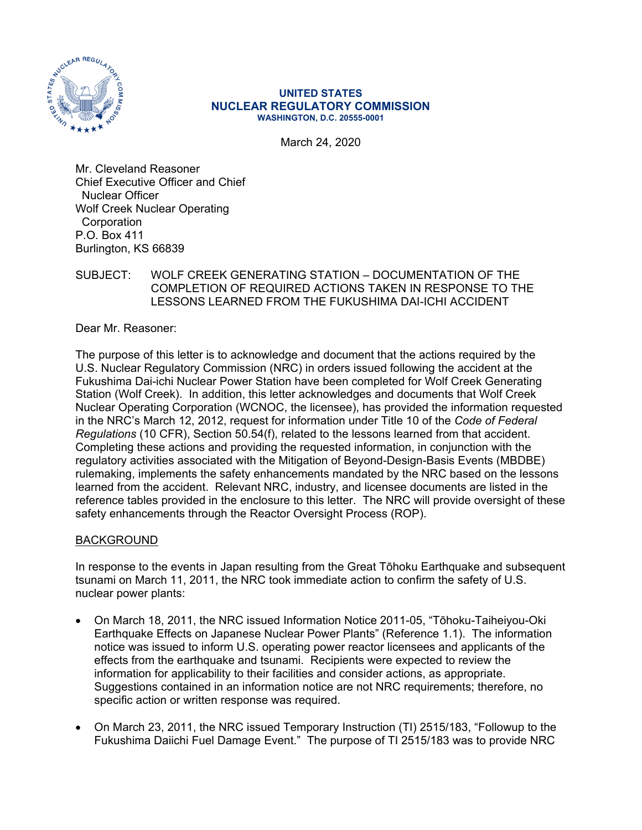

#### **UNITED STATES NUCLEAR REGULATORY COMMISSION WASHINGTON, D.C. 20555-0001**

March 24, 2020

Mr. Cleveland Reasoner Chief Executive Officer and Chief Nuclear Officer Wolf Creek Nuclear Operating **Corporation** P.O. Box 411 Burlington, KS 66839

## SUBJECT: WOLF CREEK GENERATING STATION – DOCUMENTATION OF THE COMPLETION OF REQUIRED ACTIONS TAKEN IN RESPONSE TO THE LESSONS LEARNED FROM THE FUKUSHIMA DAI-ICHI ACCIDENT

Dear Mr. Reasoner:

The purpose of this letter is to acknowledge and document that the actions required by the U.S. Nuclear Regulatory Commission (NRC) in orders issued following the accident at the Fukushima Dai-ichi Nuclear Power Station have been completed for Wolf Creek Generating Station (Wolf Creek). In addition, this letter acknowledges and documents that Wolf Creek Nuclear Operating Corporation (WCNOC, the licensee), has provided the information requested in the NRC's March 12, 2012, request for information under Title 10 of the *Code of Federal Regulations* (10 CFR), Section 50.54(f), related to the lessons learned from that accident. Completing these actions and providing the requested information, in conjunction with the regulatory activities associated with the Mitigation of Beyond-Design-Basis Events (MBDBE) rulemaking, implements the safety enhancements mandated by the NRC based on the lessons learned from the accident. Relevant NRC, industry, and licensee documents are listed in the reference tables provided in the enclosure to this letter. The NRC will provide oversight of these safety enhancements through the Reactor Oversight Process (ROP).

## BACKGROUND

In response to the events in Japan resulting from the Great Tōhoku Earthquake and subsequent tsunami on March 11, 2011, the NRC took immediate action to confirm the safety of U.S. nuclear power plants:

- On March 18, 2011, the NRC issued Information Notice 2011-05, "Tōhoku-Taiheiyou-Oki Earthquake Effects on Japanese Nuclear Power Plants" (Reference 1.1). The information notice was issued to inform U.S. operating power reactor licensees and applicants of the effects from the earthquake and tsunami. Recipients were expected to review the information for applicability to their facilities and consider actions, as appropriate. Suggestions contained in an information notice are not NRC requirements; therefore, no specific action or written response was required.
- On March 23, 2011, the NRC issued Temporary Instruction (TI) 2515/183, "Followup to the Fukushima Daiichi Fuel Damage Event." The purpose of TI 2515/183 was to provide NRC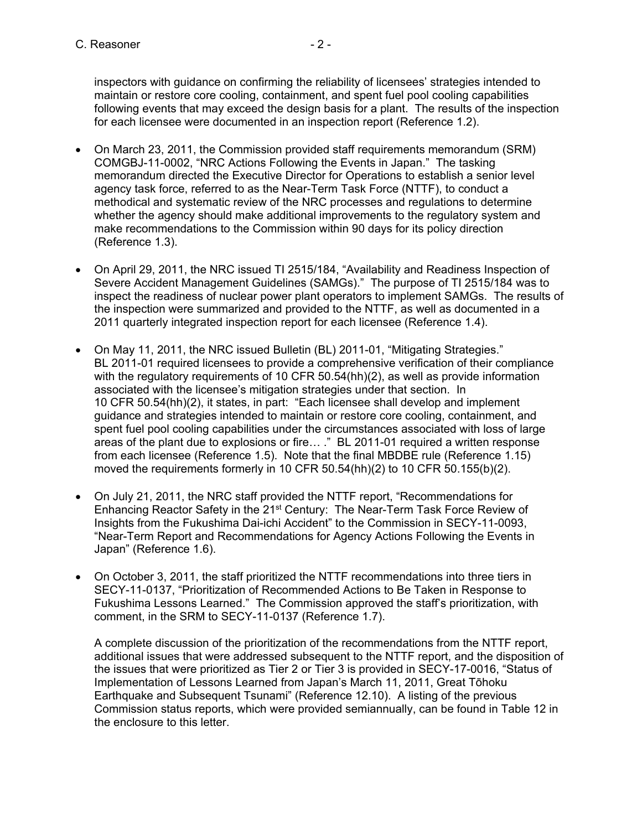inspectors with guidance on confirming the reliability of licensees' strategies intended to maintain or restore core cooling, containment, and spent fuel pool cooling capabilities following events that may exceed the design basis for a plant. The results of the inspection for each licensee were documented in an inspection report (Reference 1.2).

- On March 23, 2011, the Commission provided staff requirements memorandum (SRM) COMGBJ-11-0002, "NRC Actions Following the Events in Japan." The tasking memorandum directed the Executive Director for Operations to establish a senior level agency task force, referred to as the Near-Term Task Force (NTTF), to conduct a methodical and systematic review of the NRC processes and regulations to determine whether the agency should make additional improvements to the regulatory system and make recommendations to the Commission within 90 days for its policy direction (Reference 1.3).
- On April 29, 2011, the NRC issued TI 2515/184, "Availability and Readiness Inspection of Severe Accident Management Guidelines (SAMGs)." The purpose of TI 2515/184 was to inspect the readiness of nuclear power plant operators to implement SAMGs. The results of the inspection were summarized and provided to the NTTF, as well as documented in a 2011 quarterly integrated inspection report for each licensee (Reference 1.4).
- On May 11, 2011, the NRC issued Bulletin (BL) 2011-01, "Mitigating Strategies." BL 2011-01 required licensees to provide a comprehensive verification of their compliance with the regulatory reguirements of 10 CFR 50.54(hh)(2), as well as provide information associated with the licensee's mitigation strategies under that section. In 10 CFR 50.54(hh)(2), it states, in part: "Each licensee shall develop and implement guidance and strategies intended to maintain or restore core cooling, containment, and spent fuel pool cooling capabilities under the circumstances associated with loss of large areas of the plant due to explosions or fire… ." BL 2011-01 required a written response from each licensee (Reference 1.5). Note that the final MBDBE rule (Reference 1.15) moved the requirements formerly in 10 CFR 50.54(hh)(2) to 10 CFR 50.155(b)(2).
- On July 21, 2011, the NRC staff provided the NTTF report, "Recommendations for Enhancing Reactor Safety in the 21st Century: The Near-Term Task Force Review of Insights from the Fukushima Dai-ichi Accident" to the Commission in SECY-11-0093, "Near-Term Report and Recommendations for Agency Actions Following the Events in Japan" (Reference 1.6).
- On October 3, 2011, the staff prioritized the NTTF recommendations into three tiers in SECY-11-0137, "Prioritization of Recommended Actions to Be Taken in Response to Fukushima Lessons Learned." The Commission approved the staff's prioritization, with comment, in the SRM to SECY-11-0137 (Reference 1.7).

A complete discussion of the prioritization of the recommendations from the NTTF report, additional issues that were addressed subsequent to the NTTF report, and the disposition of the issues that were prioritized as Tier 2 or Tier 3 is provided in SECY-17-0016, "Status of Implementation of Lessons Learned from Japan's March 11, 2011, Great Tōhoku Earthquake and Subsequent Tsunami" (Reference 12.10). A listing of the previous Commission status reports, which were provided semiannually, can be found in Table 12 in the enclosure to this letter.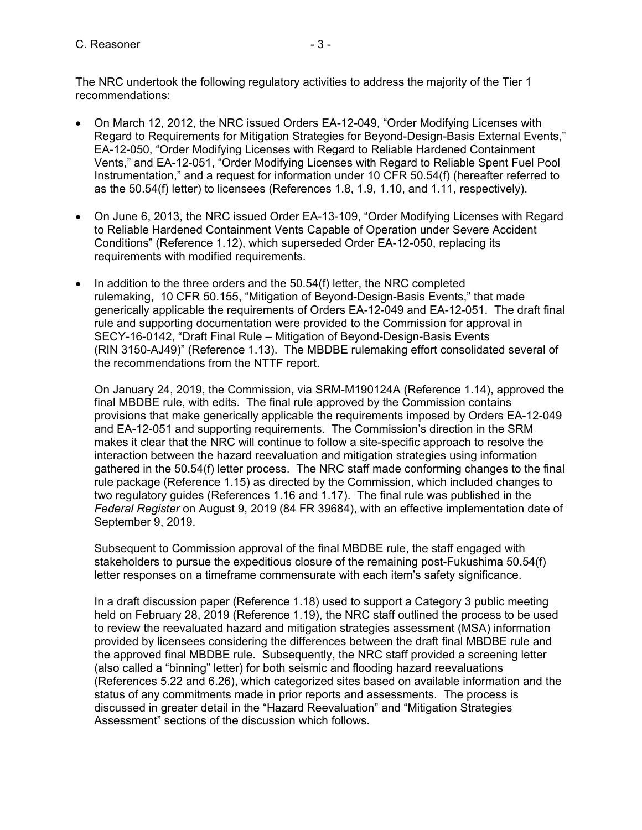The NRC undertook the following regulatory activities to address the majority of the Tier 1 recommendations:

- On March 12, 2012, the NRC issued Orders EA-12-049, "Order Modifying Licenses with Regard to Requirements for Mitigation Strategies for Beyond-Design-Basis External Events," EA-12-050, "Order Modifying Licenses with Regard to Reliable Hardened Containment Vents," and EA-12-051, "Order Modifying Licenses with Regard to Reliable Spent Fuel Pool Instrumentation," and a request for information under 10 CFR 50.54(f) (hereafter referred to as the 50.54(f) letter) to licensees (References 1.8, 1.9, 1.10, and 1.11, respectively).
- On June 6, 2013, the NRC issued Order EA-13-109, "Order Modifying Licenses with Regard to Reliable Hardened Containment Vents Capable of Operation under Severe Accident Conditions" (Reference 1.12), which superseded Order EA-12-050, replacing its requirements with modified requirements.
- $\bullet$  In addition to the three orders and the 50.54(f) letter, the NRC completed rulemaking, 10 CFR 50.155, "Mitigation of Beyond-Design-Basis Events," that made generically applicable the requirements of Orders EA-12-049 and EA-12-051. The draft final rule and supporting documentation were provided to the Commission for approval in SECY-16-0142, "Draft Final Rule – Mitigation of Beyond-Design-Basis Events (RIN 3150-AJ49)" (Reference 1.13). The MBDBE rulemaking effort consolidated several of the recommendations from the NTTF report.

On January 24, 2019, the Commission, via SRM-M190124A (Reference 1.14), approved the final MBDBE rule, with edits. The final rule approved by the Commission contains provisions that make generically applicable the requirements imposed by Orders EA-12-049 and EA-12-051 and supporting requirements. The Commission's direction in the SRM makes it clear that the NRC will continue to follow a site-specific approach to resolve the interaction between the hazard reevaluation and mitigation strategies using information gathered in the 50.54(f) letter process. The NRC staff made conforming changes to the final rule package (Reference 1.15) as directed by the Commission, which included changes to two regulatory guides (References 1.16 and 1.17). The final rule was published in the *Federal Register* on August 9, 2019 (84 FR 39684), with an effective implementation date of September 9, 2019.

Subsequent to Commission approval of the final MBDBE rule, the staff engaged with stakeholders to pursue the expeditious closure of the remaining post-Fukushima 50.54(f) letter responses on a timeframe commensurate with each item's safety significance.

In a draft discussion paper (Reference 1.18) used to support a Category 3 public meeting held on February 28, 2019 (Reference 1.19), the NRC staff outlined the process to be used to review the reevaluated hazard and mitigation strategies assessment (MSA) information provided by licensees considering the differences between the draft final MBDBE rule and the approved final MBDBE rule. Subsequently, the NRC staff provided a screening letter (also called a "binning" letter) for both seismic and flooding hazard reevaluations (References 5.22 and 6.26), which categorized sites based on available information and the status of any commitments made in prior reports and assessments. The process is discussed in greater detail in the "Hazard Reevaluation" and "Mitigation Strategies Assessment" sections of the discussion which follows.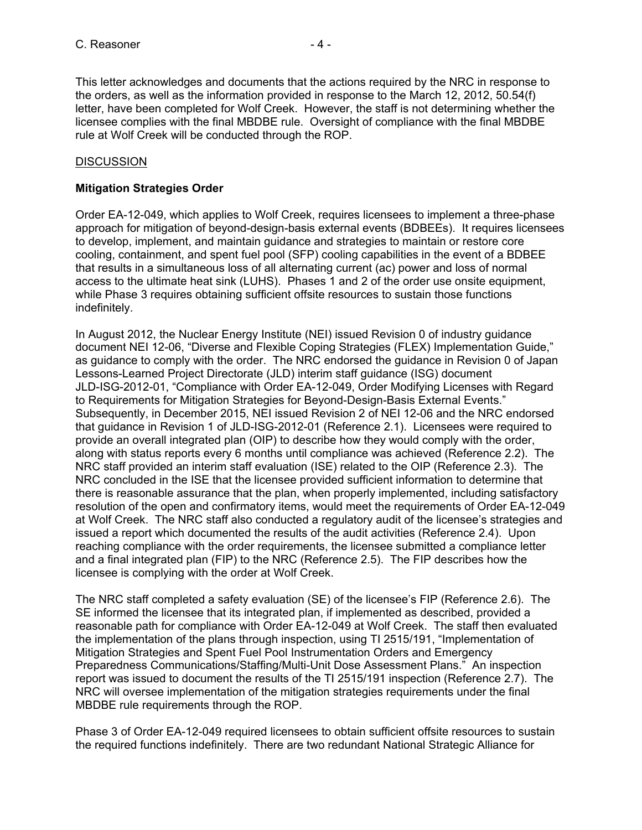This letter acknowledges and documents that the actions required by the NRC in response to the orders, as well as the information provided in response to the March 12, 2012, 50.54(f) letter, have been completed for Wolf Creek. However, the staff is not determining whether the licensee complies with the final MBDBE rule. Oversight of compliance with the final MBDBE rule at Wolf Creek will be conducted through the ROP.

#### **DISCUSSION**

#### **Mitigation Strategies Order**

Order EA-12-049, which applies to Wolf Creek, requires licensees to implement a three-phase approach for mitigation of beyond-design-basis external events (BDBEEs). It requires licensees to develop, implement, and maintain guidance and strategies to maintain or restore core cooling, containment, and spent fuel pool (SFP) cooling capabilities in the event of a BDBEE that results in a simultaneous loss of all alternating current (ac) power and loss of normal access to the ultimate heat sink (LUHS). Phases 1 and 2 of the order use onsite equipment, while Phase 3 requires obtaining sufficient offsite resources to sustain those functions indefinitely.

In August 2012, the Nuclear Energy Institute (NEI) issued Revision 0 of industry guidance document NEI 12-06, "Diverse and Flexible Coping Strategies (FLEX) Implementation Guide," as guidance to comply with the order. The NRC endorsed the guidance in Revision 0 of Japan Lessons-Learned Project Directorate (JLD) interim staff guidance (ISG) document JLD-ISG-2012-01, "Compliance with Order EA-12-049, Order Modifying Licenses with Regard to Requirements for Mitigation Strategies for Beyond-Design-Basis External Events." Subsequently, in December 2015, NEI issued Revision 2 of NEI 12-06 and the NRC endorsed that guidance in Revision 1 of JLD-ISG-2012-01 (Reference 2.1). Licensees were required to provide an overall integrated plan (OIP) to describe how they would comply with the order, along with status reports every 6 months until compliance was achieved (Reference 2.2). The NRC staff provided an interim staff evaluation (ISE) related to the OIP (Reference 2.3). The NRC concluded in the ISE that the licensee provided sufficient information to determine that there is reasonable assurance that the plan, when properly implemented, including satisfactory resolution of the open and confirmatory items, would meet the requirements of Order EA-12-049 at Wolf Creek. The NRC staff also conducted a regulatory audit of the licensee's strategies and issued a report which documented the results of the audit activities (Reference 2.4). Upon reaching compliance with the order requirements, the licensee submitted a compliance letter and a final integrated plan (FIP) to the NRC (Reference 2.5). The FIP describes how the licensee is complying with the order at Wolf Creek.

The NRC staff completed a safety evaluation (SE) of the licensee's FIP (Reference 2.6). The SE informed the licensee that its integrated plan, if implemented as described, provided a reasonable path for compliance with Order EA-12-049 at Wolf Creek. The staff then evaluated the implementation of the plans through inspection, using TI 2515/191, "Implementation of Mitigation Strategies and Spent Fuel Pool Instrumentation Orders and Emergency Preparedness Communications/Staffing/Multi-Unit Dose Assessment Plans." An inspection report was issued to document the results of the TI 2515/191 inspection (Reference 2.7). The NRC will oversee implementation of the mitigation strategies requirements under the final MBDBE rule requirements through the ROP.

Phase 3 of Order EA-12-049 required licensees to obtain sufficient offsite resources to sustain the required functions indefinitely. There are two redundant National Strategic Alliance for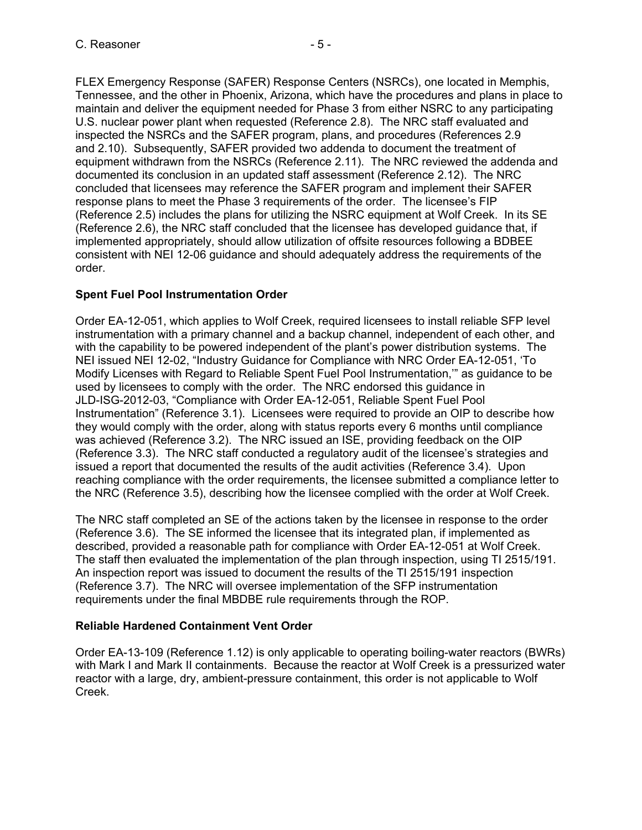FLEX Emergency Response (SAFER) Response Centers (NSRCs), one located in Memphis, Tennessee, and the other in Phoenix, Arizona, which have the procedures and plans in place to maintain and deliver the equipment needed for Phase 3 from either NSRC to any participating U.S. nuclear power plant when requested (Reference 2.8). The NRC staff evaluated and inspected the NSRCs and the SAFER program, plans, and procedures (References 2.9 and 2.10). Subsequently, SAFER provided two addenda to document the treatment of equipment withdrawn from the NSRCs (Reference 2.11). The NRC reviewed the addenda and documented its conclusion in an updated staff assessment (Reference 2.12). The NRC concluded that licensees may reference the SAFER program and implement their SAFER response plans to meet the Phase 3 requirements of the order. The licensee's FIP (Reference 2.5) includes the plans for utilizing the NSRC equipment at Wolf Creek. In its SE (Reference 2.6), the NRC staff concluded that the licensee has developed guidance that, if implemented appropriately, should allow utilization of offsite resources following a BDBEE consistent with NEI 12-06 guidance and should adequately address the requirements of the order.

# **Spent Fuel Pool Instrumentation Order**

Order EA-12-051, which applies to Wolf Creek, required licensees to install reliable SFP level instrumentation with a primary channel and a backup channel, independent of each other, and with the capability to be powered independent of the plant's power distribution systems. The NEI issued NEI 12-02, "Industry Guidance for Compliance with NRC Order EA-12-051, 'To Modify Licenses with Regard to Reliable Spent Fuel Pool Instrumentation,'" as guidance to be used by licensees to comply with the order. The NRC endorsed this guidance in JLD-ISG-2012-03, "Compliance with Order EA-12-051, Reliable Spent Fuel Pool Instrumentation" (Reference 3.1). Licensees were required to provide an OIP to describe how they would comply with the order, along with status reports every 6 months until compliance was achieved (Reference 3.2). The NRC issued an ISE, providing feedback on the OIP (Reference 3.3). The NRC staff conducted a regulatory audit of the licensee's strategies and issued a report that documented the results of the audit activities (Reference 3.4). Upon reaching compliance with the order requirements, the licensee submitted a compliance letter to the NRC (Reference 3.5), describing how the licensee complied with the order at Wolf Creek.

The NRC staff completed an SE of the actions taken by the licensee in response to the order (Reference 3.6). The SE informed the licensee that its integrated plan, if implemented as described, provided a reasonable path for compliance with Order EA-12-051 at Wolf Creek. The staff then evaluated the implementation of the plan through inspection, using TI 2515/191. An inspection report was issued to document the results of the TI 2515/191 inspection (Reference 3.7). The NRC will oversee implementation of the SFP instrumentation requirements under the final MBDBE rule requirements through the ROP.

# **Reliable Hardened Containment Vent Order**

Order EA-13-109 (Reference 1.12) is only applicable to operating boiling-water reactors (BWRs) with Mark I and Mark II containments. Because the reactor at Wolf Creek is a pressurized water reactor with a large, dry, ambient-pressure containment, this order is not applicable to Wolf Creek.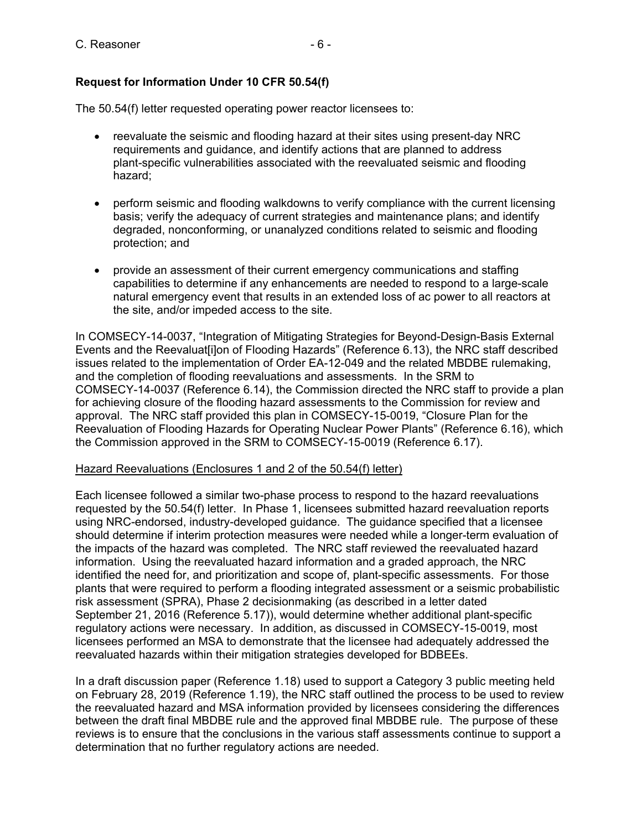# **Request for Information Under 10 CFR 50.54(f)**

The 50.54(f) letter requested operating power reactor licensees to:

- reevaluate the seismic and flooding hazard at their sites using present-day NRC requirements and guidance, and identify actions that are planned to address plant-specific vulnerabilities associated with the reevaluated seismic and flooding hazard;
- perform seismic and flooding walkdowns to verify compliance with the current licensing basis; verify the adequacy of current strategies and maintenance plans; and identify degraded, nonconforming, or unanalyzed conditions related to seismic and flooding protection; and
- provide an assessment of their current emergency communications and staffing capabilities to determine if any enhancements are needed to respond to a large-scale natural emergency event that results in an extended loss of ac power to all reactors at the site, and/or impeded access to the site.

In COMSECY-14-0037, "Integration of Mitigating Strategies for Beyond-Design-Basis External Events and the Reevaluat[i]on of Flooding Hazards" (Reference 6.13), the NRC staff described issues related to the implementation of Order EA-12-049 and the related MBDBE rulemaking, and the completion of flooding reevaluations and assessments. In the SRM to COMSECY-14-0037 (Reference 6.14), the Commission directed the NRC staff to provide a plan for achieving closure of the flooding hazard assessments to the Commission for review and approval. The NRC staff provided this plan in COMSECY-15-0019, "Closure Plan for the Reevaluation of Flooding Hazards for Operating Nuclear Power Plants" (Reference 6.16), which the Commission approved in the SRM to COMSECY-15-0019 (Reference 6.17).

#### Hazard Reevaluations (Enclosures 1 and 2 of the 50.54(f) letter)

Each licensee followed a similar two-phase process to respond to the hazard reevaluations requested by the 50.54(f) letter. In Phase 1, licensees submitted hazard reevaluation reports using NRC-endorsed, industry-developed guidance. The guidance specified that a licensee should determine if interim protection measures were needed while a longer-term evaluation of the impacts of the hazard was completed. The NRC staff reviewed the reevaluated hazard information. Using the reevaluated hazard information and a graded approach, the NRC identified the need for, and prioritization and scope of, plant-specific assessments. For those plants that were required to perform a flooding integrated assessment or a seismic probabilistic risk assessment (SPRA), Phase 2 decisionmaking (as described in a letter dated September 21, 2016 (Reference 5.17)), would determine whether additional plant-specific regulatory actions were necessary. In addition, as discussed in COMSECY-15-0019, most licensees performed an MSA to demonstrate that the licensee had adequately addressed the reevaluated hazards within their mitigation strategies developed for BDBEEs.

In a draft discussion paper (Reference 1.18) used to support a Category 3 public meeting held on February 28, 2019 (Reference 1.19), the NRC staff outlined the process to be used to review the reevaluated hazard and MSA information provided by licensees considering the differences between the draft final MBDBE rule and the approved final MBDBE rule. The purpose of these reviews is to ensure that the conclusions in the various staff assessments continue to support a determination that no further regulatory actions are needed.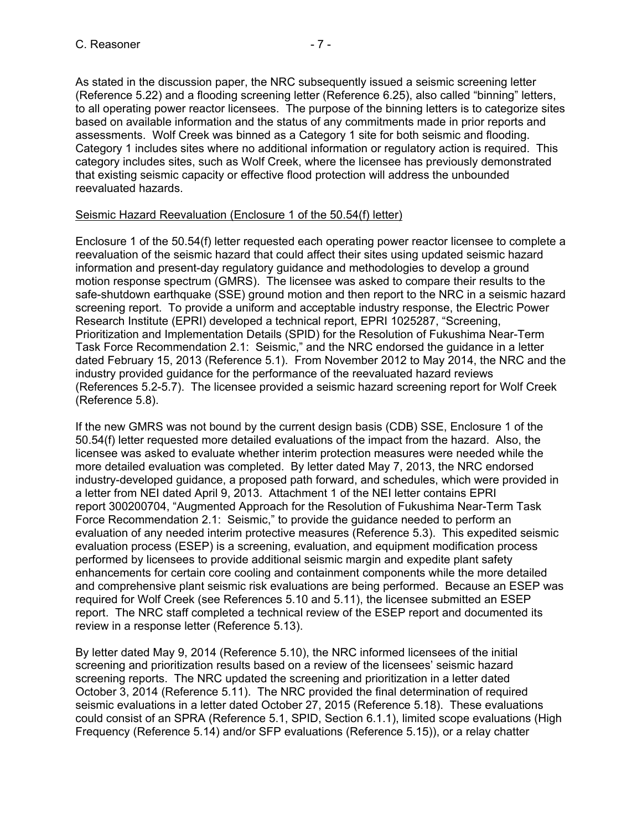As stated in the discussion paper, the NRC subsequently issued a seismic screening letter (Reference 5.22) and a flooding screening letter (Reference 6.25), also called "binning" letters, to all operating power reactor licensees. The purpose of the binning letters is to categorize sites based on available information and the status of any commitments made in prior reports and assessments. Wolf Creek was binned as a Category 1 site for both seismic and flooding. Category 1 includes sites where no additional information or regulatory action is required. This category includes sites, such as Wolf Creek, where the licensee has previously demonstrated that existing seismic capacity or effective flood protection will address the unbounded reevaluated hazards.

## Seismic Hazard Reevaluation (Enclosure 1 of the 50.54(f) letter)

Enclosure 1 of the 50.54(f) letter requested each operating power reactor licensee to complete a reevaluation of the seismic hazard that could affect their sites using updated seismic hazard information and present-day regulatory guidance and methodologies to develop a ground motion response spectrum (GMRS). The licensee was asked to compare their results to the safe-shutdown earthquake (SSE) ground motion and then report to the NRC in a seismic hazard screening report. To provide a uniform and acceptable industry response, the Electric Power Research Institute (EPRI) developed a technical report, EPRI 1025287, "Screening, Prioritization and Implementation Details (SPID) for the Resolution of Fukushima Near-Term Task Force Recommendation 2.1: Seismic," and the NRC endorsed the guidance in a letter dated February 15, 2013 (Reference 5.1). From November 2012 to May 2014, the NRC and the industry provided guidance for the performance of the reevaluated hazard reviews (References 5.2-5.7). The licensee provided a seismic hazard screening report for Wolf Creek (Reference 5.8).

If the new GMRS was not bound by the current design basis (CDB) SSE, Enclosure 1 of the 50.54(f) letter requested more detailed evaluations of the impact from the hazard. Also, the licensee was asked to evaluate whether interim protection measures were needed while the more detailed evaluation was completed. By letter dated May 7, 2013, the NRC endorsed industry-developed guidance, a proposed path forward, and schedules, which were provided in a letter from NEI dated April 9, 2013. Attachment 1 of the NEI letter contains EPRI report 300200704, "Augmented Approach for the Resolution of Fukushima Near-Term Task Force Recommendation 2.1: Seismic," to provide the guidance needed to perform an evaluation of any needed interim protective measures (Reference 5.3). This expedited seismic evaluation process (ESEP) is a screening, evaluation, and equipment modification process performed by licensees to provide additional seismic margin and expedite plant safety enhancements for certain core cooling and containment components while the more detailed and comprehensive plant seismic risk evaluations are being performed. Because an ESEP was required for Wolf Creek (see References 5.10 and 5.11), the licensee submitted an ESEP report. The NRC staff completed a technical review of the ESEP report and documented its review in a response letter (Reference 5.13).

By letter dated May 9, 2014 (Reference 5.10), the NRC informed licensees of the initial screening and prioritization results based on a review of the licensees' seismic hazard screening reports. The NRC updated the screening and prioritization in a letter dated October 3, 2014 (Reference 5.11). The NRC provided the final determination of required seismic evaluations in a letter dated October 27, 2015 (Reference 5.18). These evaluations could consist of an SPRA (Reference 5.1, SPID, Section 6.1.1), limited scope evaluations (High Frequency (Reference 5.14) and/or SFP evaluations (Reference 5.15)), or a relay chatter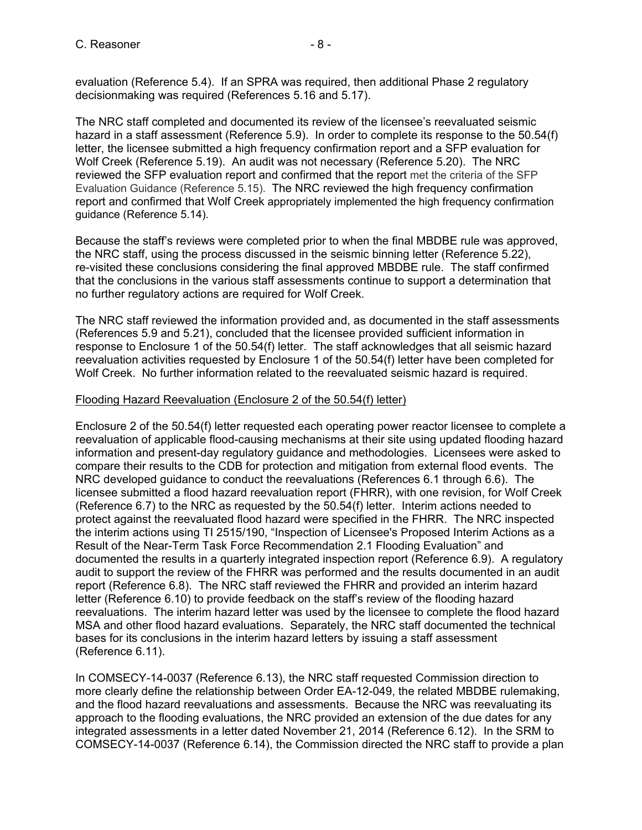evaluation (Reference 5.4). If an SPRA was required, then additional Phase 2 regulatory decisionmaking was required (References 5.16 and 5.17).

The NRC staff completed and documented its review of the licensee's reevaluated seismic hazard in a staff assessment (Reference 5.9). In order to complete its response to the 50.54(f) letter, the licensee submitted a high frequency confirmation report and a SFP evaluation for Wolf Creek (Reference 5.19). An audit was not necessary (Reference 5.20). The NRC reviewed the SFP evaluation report and confirmed that the report met the criteria of the SFP Evaluation Guidance (Reference 5.15). The NRC reviewed the high frequency confirmation report and confirmed that Wolf Creek appropriately implemented the high frequency confirmation guidance (Reference 5.14).

Because the staff's reviews were completed prior to when the final MBDBE rule was approved, the NRC staff, using the process discussed in the seismic binning letter (Reference 5.22), re-visited these conclusions considering the final approved MBDBE rule. The staff confirmed that the conclusions in the various staff assessments continue to support a determination that no further regulatory actions are required for Wolf Creek.

The NRC staff reviewed the information provided and, as documented in the staff assessments (References 5.9 and 5.21), concluded that the licensee provided sufficient information in response to Enclosure 1 of the 50.54(f) letter. The staff acknowledges that all seismic hazard reevaluation activities requested by Enclosure 1 of the 50.54(f) letter have been completed for Wolf Creek. No further information related to the reevaluated seismic hazard is required.

# Flooding Hazard Reevaluation (Enclosure 2 of the 50.54(f) letter)

Enclosure 2 of the 50.54(f) letter requested each operating power reactor licensee to complete a reevaluation of applicable flood-causing mechanisms at their site using updated flooding hazard information and present-day regulatory guidance and methodologies. Licensees were asked to compare their results to the CDB for protection and mitigation from external flood events. The NRC developed guidance to conduct the reevaluations (References 6.1 through 6.6). The licensee submitted a flood hazard reevaluation report (FHRR), with one revision, for Wolf Creek (Reference 6.7) to the NRC as requested by the 50.54(f) letter. Interim actions needed to protect against the reevaluated flood hazard were specified in the FHRR. The NRC inspected the interim actions using TI 2515/190, "Inspection of Licensee's Proposed Interim Actions as a Result of the Near-Term Task Force Recommendation 2.1 Flooding Evaluation" and documented the results in a quarterly integrated inspection report (Reference 6.9). A regulatory audit to support the review of the FHRR was performed and the results documented in an audit report (Reference 6.8). The NRC staff reviewed the FHRR and provided an interim hazard letter (Reference 6.10) to provide feedback on the staff's review of the flooding hazard reevaluations. The interim hazard letter was used by the licensee to complete the flood hazard MSA and other flood hazard evaluations. Separately, the NRC staff documented the technical bases for its conclusions in the interim hazard letters by issuing a staff assessment (Reference 6.11).

In COMSECY-14-0037 (Reference 6.13), the NRC staff requested Commission direction to more clearly define the relationship between Order EA-12-049, the related MBDBE rulemaking, and the flood hazard reevaluations and assessments. Because the NRC was reevaluating its approach to the flooding evaluations, the NRC provided an extension of the due dates for any integrated assessments in a letter dated November 21, 2014 (Reference 6.12). In the SRM to COMSECY-14-0037 (Reference 6.14), the Commission directed the NRC staff to provide a plan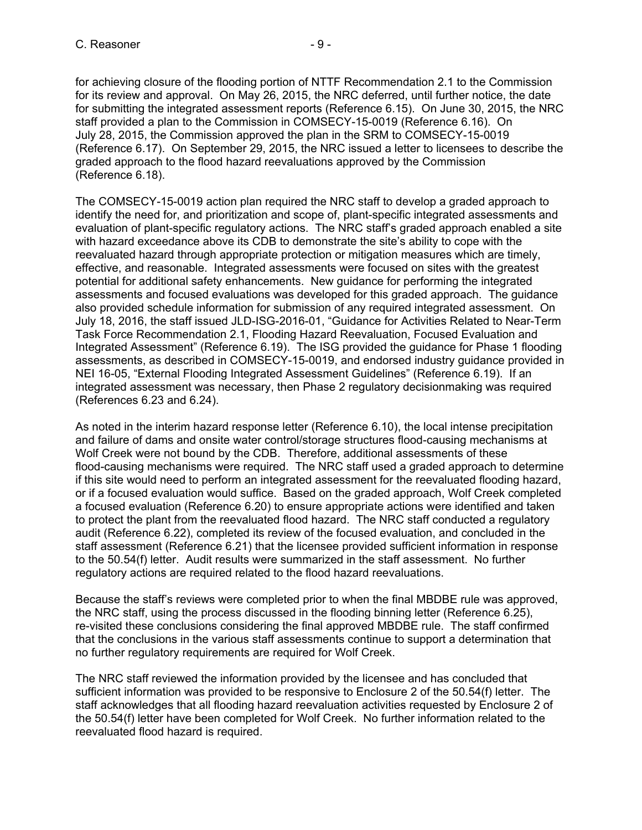for achieving closure of the flooding portion of NTTF Recommendation 2.1 to the Commission for its review and approval. On May 26, 2015, the NRC deferred, until further notice, the date for submitting the integrated assessment reports (Reference 6.15). On June 30, 2015, the NRC staff provided a plan to the Commission in COMSECY-15-0019 (Reference 6.16). On July 28, 2015, the Commission approved the plan in the SRM to COMSECY-15-0019 (Reference 6.17). On September 29, 2015, the NRC issued a letter to licensees to describe the graded approach to the flood hazard reevaluations approved by the Commission (Reference 6.18).

The COMSECY-15-0019 action plan required the NRC staff to develop a graded approach to identify the need for, and prioritization and scope of, plant-specific integrated assessments and evaluation of plant-specific regulatory actions. The NRC staff's graded approach enabled a site with hazard exceedance above its CDB to demonstrate the site's ability to cope with the reevaluated hazard through appropriate protection or mitigation measures which are timely, effective, and reasonable. Integrated assessments were focused on sites with the greatest potential for additional safety enhancements. New guidance for performing the integrated assessments and focused evaluations was developed for this graded approach. The guidance also provided schedule information for submission of any required integrated assessment. On July 18, 2016, the staff issued JLD-ISG-2016-01, "Guidance for Activities Related to Near-Term Task Force Recommendation 2.1, Flooding Hazard Reevaluation, Focused Evaluation and Integrated Assessment" (Reference 6.19). The ISG provided the guidance for Phase 1 flooding assessments, as described in COMSECY-15-0019, and endorsed industry guidance provided in NEI 16-05, "External Flooding Integrated Assessment Guidelines" (Reference 6.19). If an integrated assessment was necessary, then Phase 2 regulatory decisionmaking was required (References 6.23 and 6.24).

As noted in the interim hazard response letter (Reference 6.10), the local intense precipitation and failure of dams and onsite water control/storage structures flood-causing mechanisms at Wolf Creek were not bound by the CDB. Therefore, additional assessments of these flood-causing mechanisms were required. The NRC staff used a graded approach to determine if this site would need to perform an integrated assessment for the reevaluated flooding hazard, or if a focused evaluation would suffice. Based on the graded approach, Wolf Creek completed a focused evaluation (Reference 6.20) to ensure appropriate actions were identified and taken to protect the plant from the reevaluated flood hazard. The NRC staff conducted a regulatory audit (Reference 6.22), completed its review of the focused evaluation, and concluded in the staff assessment (Reference 6.21) that the licensee provided sufficient information in response to the 50.54(f) letter. Audit results were summarized in the staff assessment. No further regulatory actions are required related to the flood hazard reevaluations.

Because the staff's reviews were completed prior to when the final MBDBE rule was approved, the NRC staff, using the process discussed in the flooding binning letter (Reference 6.25), re-visited these conclusions considering the final approved MBDBE rule. The staff confirmed that the conclusions in the various staff assessments continue to support a determination that no further regulatory requirements are required for Wolf Creek.

The NRC staff reviewed the information provided by the licensee and has concluded that sufficient information was provided to be responsive to Enclosure 2 of the 50.54(f) letter. The staff acknowledges that all flooding hazard reevaluation activities requested by Enclosure 2 of the 50.54(f) letter have been completed for Wolf Creek. No further information related to the reevaluated flood hazard is required.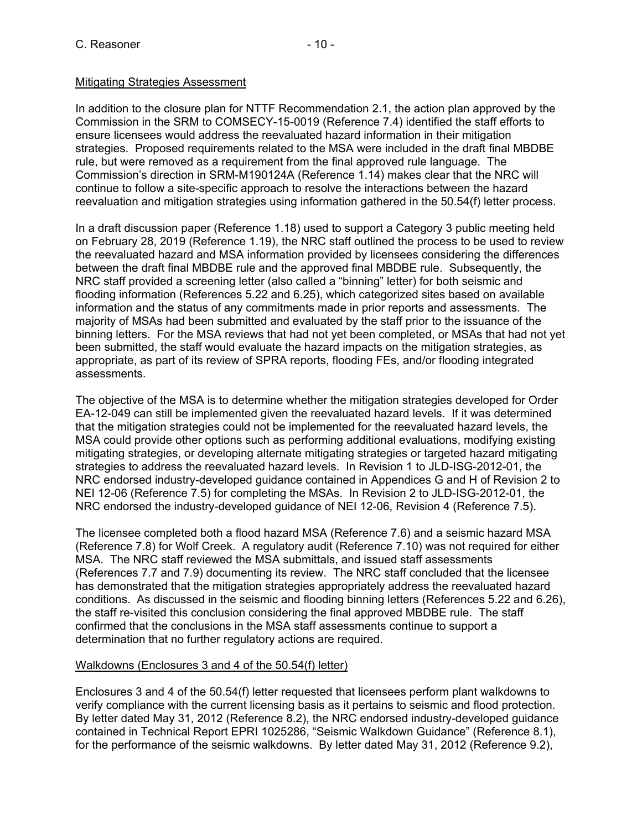# Mitigating Strategies Assessment

In addition to the closure plan for NTTF Recommendation 2.1, the action plan approved by the Commission in the SRM to COMSECY-15-0019 (Reference 7.4) identified the staff efforts to ensure licensees would address the reevaluated hazard information in their mitigation strategies. Proposed requirements related to the MSA were included in the draft final MBDBE rule, but were removed as a requirement from the final approved rule language. The Commission's direction in SRM-M190124A (Reference 1.14) makes clear that the NRC will continue to follow a site-specific approach to resolve the interactions between the hazard reevaluation and mitigation strategies using information gathered in the 50.54(f) letter process.

In a draft discussion paper (Reference 1.18) used to support a Category 3 public meeting held on February 28, 2019 (Reference 1.19), the NRC staff outlined the process to be used to review the reevaluated hazard and MSA information provided by licensees considering the differences between the draft final MBDBE rule and the approved final MBDBE rule. Subsequently, the NRC staff provided a screening letter (also called a "binning" letter) for both seismic and flooding information (References 5.22 and 6.25), which categorized sites based on available information and the status of any commitments made in prior reports and assessments. The majority of MSAs had been submitted and evaluated by the staff prior to the issuance of the binning letters. For the MSA reviews that had not yet been completed, or MSAs that had not yet been submitted, the staff would evaluate the hazard impacts on the mitigation strategies, as appropriate, as part of its review of SPRA reports, flooding FEs, and/or flooding integrated assessments.

The objective of the MSA is to determine whether the mitigation strategies developed for Order EA-12-049 can still be implemented given the reevaluated hazard levels. If it was determined that the mitigation strategies could not be implemented for the reevaluated hazard levels, the MSA could provide other options such as performing additional evaluations, modifying existing mitigating strategies, or developing alternate mitigating strategies or targeted hazard mitigating strategies to address the reevaluated hazard levels. In Revision 1 to JLD-ISG-2012-01, the NRC endorsed industry-developed guidance contained in Appendices G and H of Revision 2 to NEI 12-06 (Reference 7.5) for completing the MSAs. In Revision 2 to JLD-ISG-2012-01, the NRC endorsed the industry-developed guidance of NEI 12-06, Revision 4 (Reference 7.5).

The licensee completed both a flood hazard MSA (Reference 7.6) and a seismic hazard MSA (Reference 7.8) for Wolf Creek. A regulatory audit (Reference 7.10) was not required for either MSA. The NRC staff reviewed the MSA submittals, and issued staff assessments (References 7.7 and 7.9) documenting its review. The NRC staff concluded that the licensee has demonstrated that the mitigation strategies appropriately address the reevaluated hazard conditions. As discussed in the seismic and flooding binning letters (References 5.22 and 6.26), the staff re-visited this conclusion considering the final approved MBDBE rule. The staff confirmed that the conclusions in the MSA staff assessments continue to support a determination that no further regulatory actions are required.

## Walkdowns (Enclosures 3 and 4 of the 50.54(f) letter)

Enclosures 3 and 4 of the 50.54(f) letter requested that licensees perform plant walkdowns to verify compliance with the current licensing basis as it pertains to seismic and flood protection. By letter dated May 31, 2012 (Reference 8.2), the NRC endorsed industry-developed guidance contained in Technical Report EPRI 1025286, "Seismic Walkdown Guidance" (Reference 8.1), for the performance of the seismic walkdowns. By letter dated May 31, 2012 (Reference 9.2),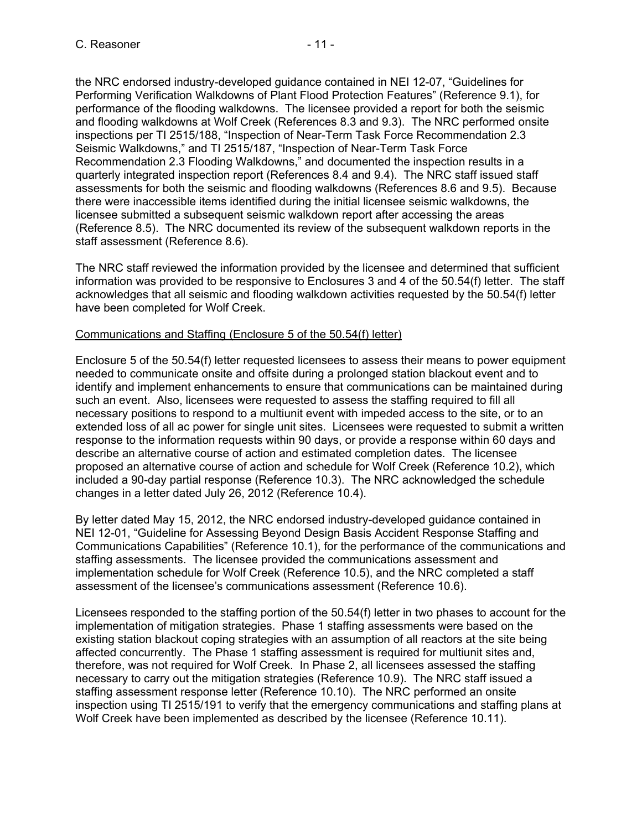the NRC endorsed industry-developed guidance contained in NEI 12-07, "Guidelines for Performing Verification Walkdowns of Plant Flood Protection Features" (Reference 9.1), for performance of the flooding walkdowns. The licensee provided a report for both the seismic and flooding walkdowns at Wolf Creek (References 8.3 and 9.3). The NRC performed onsite inspections per TI 2515/188, "Inspection of Near-Term Task Force Recommendation 2.3 Seismic Walkdowns," and TI 2515/187, "Inspection of Near-Term Task Force Recommendation 2.3 Flooding Walkdowns," and documented the inspection results in a quarterly integrated inspection report (References 8.4 and 9.4). The NRC staff issued staff assessments for both the seismic and flooding walkdowns (References 8.6 and 9.5). Because there were inaccessible items identified during the initial licensee seismic walkdowns, the licensee submitted a subsequent seismic walkdown report after accessing the areas (Reference 8.5). The NRC documented its review of the subsequent walkdown reports in the staff assessment (Reference 8.6).

The NRC staff reviewed the information provided by the licensee and determined that sufficient information was provided to be responsive to Enclosures 3 and 4 of the 50.54(f) letter. The staff acknowledges that all seismic and flooding walkdown activities requested by the 50.54(f) letter have been completed for Wolf Creek.

## Communications and Staffing (Enclosure 5 of the 50.54(f) letter)

Enclosure 5 of the 50.54(f) letter requested licensees to assess their means to power equipment needed to communicate onsite and offsite during a prolonged station blackout event and to identify and implement enhancements to ensure that communications can be maintained during such an event. Also, licensees were requested to assess the staffing required to fill all necessary positions to respond to a multiunit event with impeded access to the site, or to an extended loss of all ac power for single unit sites. Licensees were requested to submit a written response to the information requests within 90 days, or provide a response within 60 days and describe an alternative course of action and estimated completion dates. The licensee proposed an alternative course of action and schedule for Wolf Creek (Reference 10.2), which included a 90-day partial response (Reference 10.3). The NRC acknowledged the schedule changes in a letter dated July 26, 2012 (Reference 10.4).

By letter dated May 15, 2012, the NRC endorsed industry-developed guidance contained in NEI 12-01, "Guideline for Assessing Beyond Design Basis Accident Response Staffing and Communications Capabilities" (Reference 10.1), for the performance of the communications and staffing assessments. The licensee provided the communications assessment and implementation schedule for Wolf Creek (Reference 10.5), and the NRC completed a staff assessment of the licensee's communications assessment (Reference 10.6).

Licensees responded to the staffing portion of the 50.54(f) letter in two phases to account for the implementation of mitigation strategies. Phase 1 staffing assessments were based on the existing station blackout coping strategies with an assumption of all reactors at the site being affected concurrently. The Phase 1 staffing assessment is required for multiunit sites and, therefore, was not required for Wolf Creek. In Phase 2, all licensees assessed the staffing necessary to carry out the mitigation strategies (Reference 10.9). The NRC staff issued a staffing assessment response letter (Reference 10.10). The NRC performed an onsite inspection using TI 2515/191 to verify that the emergency communications and staffing plans at Wolf Creek have been implemented as described by the licensee (Reference 10.11).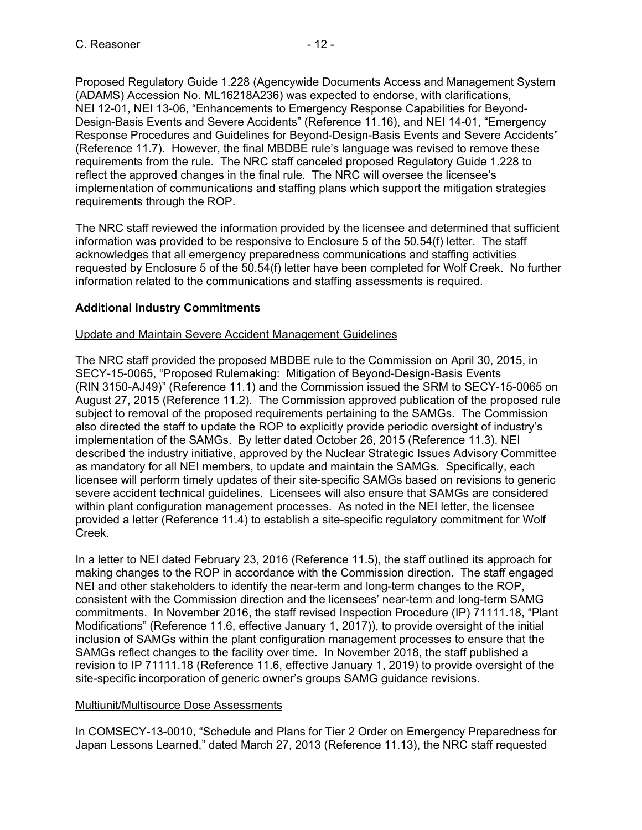Proposed Regulatory Guide 1.228 (Agencywide Documents Access and Management System (ADAMS) Accession No. ML16218A236) was expected to endorse, with clarifications, NEI 12-01, NEI 13-06, "Enhancements to Emergency Response Capabilities for Beyond-Design-Basis Events and Severe Accidents" (Reference 11.16), and NEI 14-01, "Emergency Response Procedures and Guidelines for Beyond-Design-Basis Events and Severe Accidents" (Reference 11.7). However, the final MBDBE rule's language was revised to remove these requirements from the rule. The NRC staff canceled proposed Regulatory Guide 1.228 to reflect the approved changes in the final rule. The NRC will oversee the licensee's implementation of communications and staffing plans which support the mitigation strategies requirements through the ROP.

The NRC staff reviewed the information provided by the licensee and determined that sufficient information was provided to be responsive to Enclosure 5 of the 50.54(f) letter. The staff acknowledges that all emergency preparedness communications and staffing activities requested by Enclosure 5 of the 50.54(f) letter have been completed for Wolf Creek. No further information related to the communications and staffing assessments is required.

# **Additional Industry Commitments**

## Update and Maintain Severe Accident Management Guidelines

The NRC staff provided the proposed MBDBE rule to the Commission on April 30, 2015, in SECY-15-0065, "Proposed Rulemaking: Mitigation of Beyond-Design-Basis Events (RIN 3150-AJ49)" (Reference 11.1) and the Commission issued the SRM to SECY-15-0065 on August 27, 2015 (Reference 11.2). The Commission approved publication of the proposed rule subject to removal of the proposed requirements pertaining to the SAMGs. The Commission also directed the staff to update the ROP to explicitly provide periodic oversight of industry's implementation of the SAMGs. By letter dated October 26, 2015 (Reference 11.3), NEI described the industry initiative, approved by the Nuclear Strategic Issues Advisory Committee as mandatory for all NEI members, to update and maintain the SAMGs. Specifically, each licensee will perform timely updates of their site-specific SAMGs based on revisions to generic severe accident technical guidelines. Licensees will also ensure that SAMGs are considered within plant configuration management processes. As noted in the NEI letter, the licensee provided a letter (Reference 11.4) to establish a site-specific regulatory commitment for Wolf Creek.

In a letter to NEI dated February 23, 2016 (Reference 11.5), the staff outlined its approach for making changes to the ROP in accordance with the Commission direction. The staff engaged NEI and other stakeholders to identify the near-term and long-term changes to the ROP, consistent with the Commission direction and the licensees' near-term and long-term SAMG commitments. In November 2016, the staff revised Inspection Procedure (IP) 71111.18, "Plant Modifications" (Reference 11.6, effective January 1, 2017)), to provide oversight of the initial inclusion of SAMGs within the plant configuration management processes to ensure that the SAMGs reflect changes to the facility over time. In November 2018, the staff published a revision to IP 71111.18 (Reference 11.6, effective January 1, 2019) to provide oversight of the site-specific incorporation of generic owner's groups SAMG guidance revisions.

## Multiunit/Multisource Dose Assessments

In COMSECY-13-0010, "Schedule and Plans for Tier 2 Order on Emergency Preparedness for Japan Lessons Learned," dated March 27, 2013 (Reference 11.13), the NRC staff requested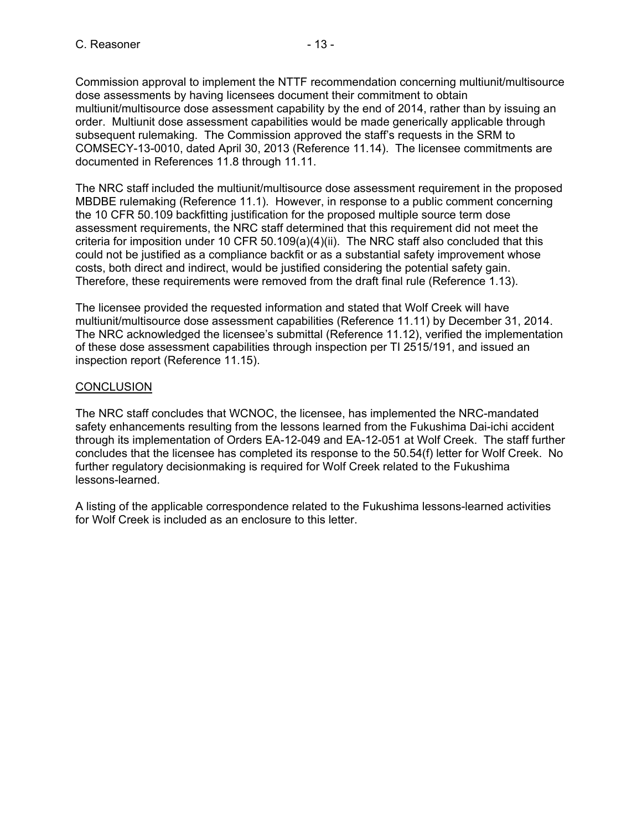Commission approval to implement the NTTF recommendation concerning multiunit/multisource dose assessments by having licensees document their commitment to obtain multiunit/multisource dose assessment capability by the end of 2014, rather than by issuing an order. Multiunit dose assessment capabilities would be made generically applicable through subsequent rulemaking. The Commission approved the staff's requests in the SRM to COMSECY-13-0010, dated April 30, 2013 (Reference 11.14). The licensee commitments are documented in References 11.8 through 11.11.

The NRC staff included the multiunit/multisource dose assessment requirement in the proposed MBDBE rulemaking (Reference 11.1). However, in response to a public comment concerning the 10 CFR 50.109 backfitting justification for the proposed multiple source term dose assessment requirements, the NRC staff determined that this requirement did not meet the criteria for imposition under 10 CFR 50.109(a)(4)(ii). The NRC staff also concluded that this could not be justified as a compliance backfit or as a substantial safety improvement whose costs, both direct and indirect, would be justified considering the potential safety gain. Therefore, these requirements were removed from the draft final rule (Reference 1.13).

The licensee provided the requested information and stated that Wolf Creek will have multiunit/multisource dose assessment capabilities (Reference 11.11) by December 31, 2014. The NRC acknowledged the licensee's submittal (Reference 11.12), verified the implementation of these dose assessment capabilities through inspection per TI 2515/191, and issued an inspection report (Reference 11.15).

## **CONCLUSION**

The NRC staff concludes that WCNOC, the licensee, has implemented the NRC-mandated safety enhancements resulting from the lessons learned from the Fukushima Dai-ichi accident through its implementation of Orders EA-12-049 and EA-12-051 at Wolf Creek. The staff further concludes that the licensee has completed its response to the 50.54(f) letter for Wolf Creek. No further regulatory decisionmaking is required for Wolf Creek related to the Fukushima lessons-learned.

A listing of the applicable correspondence related to the Fukushima lessons-learned activities for Wolf Creek is included as an enclosure to this letter.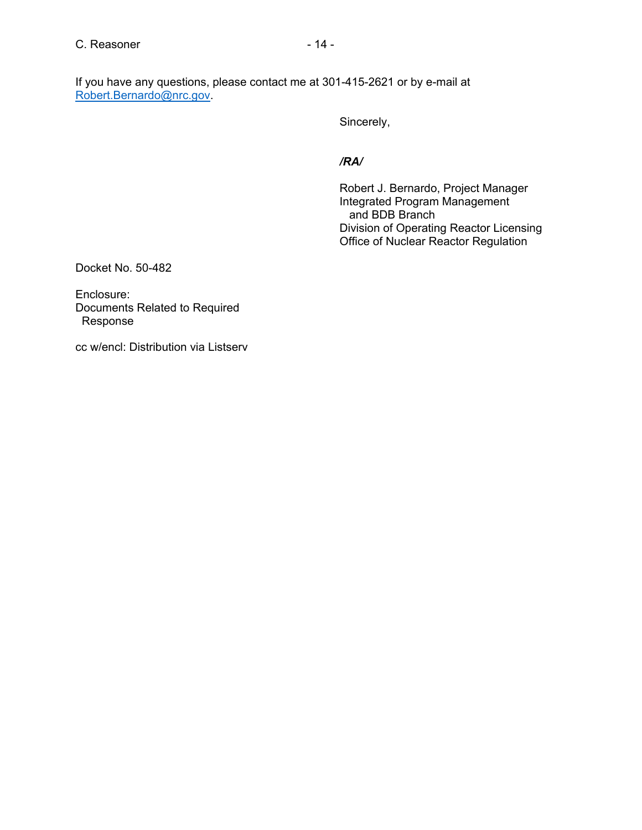If you have any questions, please contact me at 301-415-2621 or by e-mail at Robert.Bernardo@nrc.gov.

Sincerely,

#### */RA/*

 Robert J. Bernardo, Project Manager Integrated Program Management and BDB Branch Division of Operating Reactor Licensing Office of Nuclear Reactor Regulation

Docket No. 50-482

Enclosure: Documents Related to Required Response

cc w/encl: Distribution via Listserv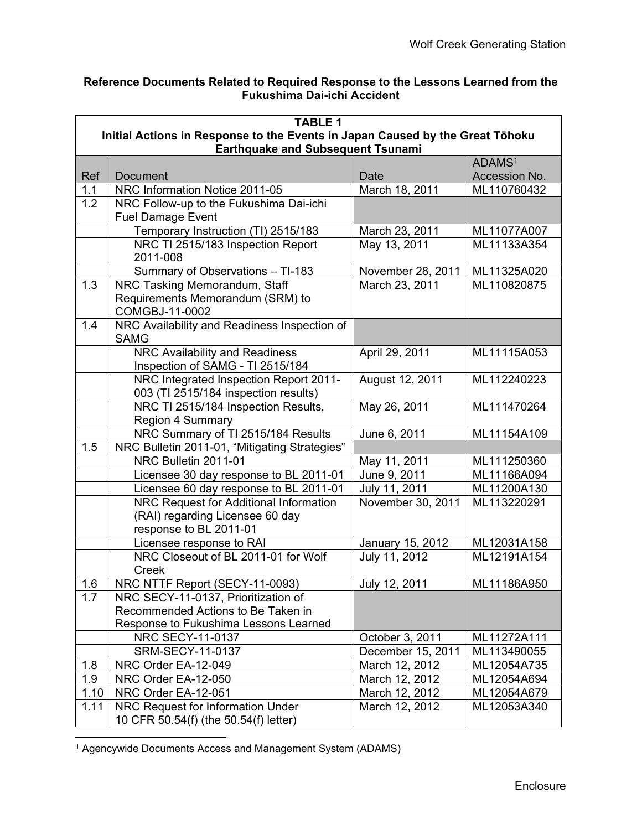## **Reference Documents Related to Required Response to the Lessons Learned from the Fukushima Dai-ichi Accident**

|                                                                               | <b>TABLE 1</b>                                                             |                   |                    |  |  |
|-------------------------------------------------------------------------------|----------------------------------------------------------------------------|-------------------|--------------------|--|--|
| Initial Actions in Response to the Events in Japan Caused by the Great Tōhoku |                                                                            |                   |                    |  |  |
|                                                                               | <b>Earthquake and Subsequent Tsunami</b>                                   |                   |                    |  |  |
|                                                                               |                                                                            |                   | ADAMS <sup>1</sup> |  |  |
| Ref                                                                           | Document                                                                   | Date              | Accession No.      |  |  |
| 1.1                                                                           | NRC Information Notice 2011-05                                             | March 18, 2011    | ML110760432        |  |  |
| 1.2                                                                           | NRC Follow-up to the Fukushima Dai-ichi                                    |                   |                    |  |  |
|                                                                               | <b>Fuel Damage Event</b>                                                   |                   |                    |  |  |
|                                                                               | Temporary Instruction (TI) 2515/183                                        | March 23, 2011    | ML11077A007        |  |  |
|                                                                               | NRC TI 2515/183 Inspection Report                                          | May 13, 2011      | ML11133A354        |  |  |
|                                                                               | 2011-008                                                                   |                   |                    |  |  |
|                                                                               | Summary of Observations - TI-183                                           | November 28, 2011 | ML11325A020        |  |  |
| 1.3                                                                           | NRC Tasking Memorandum, Staff                                              | March 23, 2011    | ML110820875        |  |  |
|                                                                               | Requirements Memorandum (SRM) to                                           |                   |                    |  |  |
|                                                                               | COMGBJ-11-0002                                                             |                   |                    |  |  |
| 1.4                                                                           | NRC Availability and Readiness Inspection of                               |                   |                    |  |  |
|                                                                               | <b>SAMG</b>                                                                |                   |                    |  |  |
|                                                                               | NRC Availability and Readiness                                             | April 29, 2011    | ML11115A053        |  |  |
|                                                                               | Inspection of SAMG - TI 2515/184<br>NRC Integrated Inspection Report 2011- | August 12, 2011   | ML112240223        |  |  |
|                                                                               | 003 (TI 2515/184 inspection results)                                       |                   |                    |  |  |
|                                                                               | NRC TI 2515/184 Inspection Results,                                        | May 26, 2011      | ML111470264        |  |  |
|                                                                               | <b>Region 4 Summary</b>                                                    |                   |                    |  |  |
|                                                                               | NRC Summary of TI 2515/184 Results                                         | June 6, 2011      | ML11154A109        |  |  |
| 1.5                                                                           | NRC Bulletin 2011-01, "Mitigating Strategies"                              |                   |                    |  |  |
|                                                                               | NRC Bulletin 2011-01                                                       | May 11, 2011      | ML111250360        |  |  |
|                                                                               | Licensee 30 day response to BL 2011-01                                     | June 9, 2011      | ML11166A094        |  |  |
|                                                                               | Licensee 60 day response to BL 2011-01                                     | July 11, 2011     | ML11200A130        |  |  |
|                                                                               | NRC Request for Additional Information                                     | November 30, 2011 | ML113220291        |  |  |
|                                                                               | (RAI) regarding Licensee 60 day                                            |                   |                    |  |  |
|                                                                               | response to BL 2011-01                                                     |                   |                    |  |  |
|                                                                               | Licensee response to RAI                                                   | January 15, 2012  | ML12031A158        |  |  |
|                                                                               | NRC Closeout of BL 2011-01 for Wolf                                        | July 11, 2012     | ML12191A154        |  |  |
|                                                                               | Creek                                                                      |                   |                    |  |  |
| 1.6                                                                           | NRC NTTF Report (SECY-11-0093)                                             | July 12, 2011     | ML11186A950        |  |  |
| 1.7                                                                           | NRC SECY-11-0137, Prioritization of                                        |                   |                    |  |  |
|                                                                               | Recommended Actions to Be Taken in                                         |                   |                    |  |  |
|                                                                               | Response to Fukushima Lessons Learned                                      |                   |                    |  |  |
|                                                                               | NRC SECY-11-0137                                                           | October 3, 2011   | ML11272A111        |  |  |
|                                                                               | SRM-SECY-11-0137                                                           | December 15, 2011 | ML113490055        |  |  |
| 1.8                                                                           | NRC Order EA-12-049                                                        | March 12, 2012    | ML12054A735        |  |  |
| 1.9                                                                           | NRC Order EA-12-050                                                        | March 12, 2012    | ML12054A694        |  |  |
| 1.10                                                                          | NRC Order EA-12-051                                                        | March 12, 2012    | ML12054A679        |  |  |
| 1.11                                                                          | NRC Request for Information Under                                          | March 12, 2012    | ML12053A340        |  |  |
|                                                                               | 10 CFR 50.54(f) (the 50.54(f) letter)                                      |                   |                    |  |  |

<sup>1</sup> Agencywide Documents Access and Management System (ADAMS)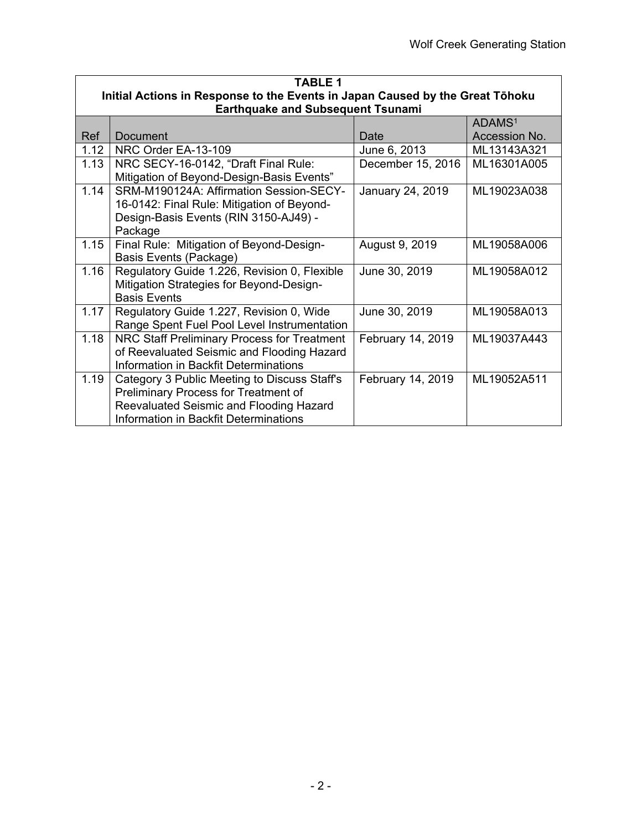|      | <b>TABLE 1</b>                                                                |                   |                    |  |
|------|-------------------------------------------------------------------------------|-------------------|--------------------|--|
|      | Initial Actions in Response to the Events in Japan Caused by the Great Tōhoku |                   |                    |  |
|      | <b>Earthquake and Subsequent Tsunami</b>                                      |                   |                    |  |
|      |                                                                               |                   | ADAMS <sup>1</sup> |  |
| Ref  | <b>Document</b>                                                               | Date              | Accession No.      |  |
| 1.12 | NRC Order EA-13-109                                                           | June 6, 2013      | ML13143A321        |  |
| 1.13 | NRC SECY-16-0142, "Draft Final Rule:                                          | December 15, 2016 | ML16301A005        |  |
|      | Mitigation of Beyond-Design-Basis Events"                                     |                   |                    |  |
| 1.14 | SRM-M190124A: Affirmation Session-SECY-                                       | January 24, 2019  | ML19023A038        |  |
|      | 16-0142: Final Rule: Mitigation of Beyond-                                    |                   |                    |  |
|      | Design-Basis Events (RIN 3150-AJ49) -                                         |                   |                    |  |
|      | Package                                                                       |                   |                    |  |
| 1.15 | Final Rule: Mitigation of Beyond-Design-                                      | August 9, 2019    | ML19058A006        |  |
|      | Basis Events (Package)                                                        |                   |                    |  |
| 1.16 | Regulatory Guide 1.226, Revision 0, Flexible                                  | June 30, 2019     | ML19058A012        |  |
|      | Mitigation Strategies for Beyond-Design-                                      |                   |                    |  |
|      | <b>Basis Events</b>                                                           |                   |                    |  |
| 1.17 | Regulatory Guide 1.227, Revision 0, Wide                                      | June 30, 2019     | ML19058A013        |  |
|      | Range Spent Fuel Pool Level Instrumentation                                   |                   |                    |  |
| 1.18 | NRC Staff Preliminary Process for Treatment                                   | February 14, 2019 | ML19037A443        |  |
|      | of Reevaluated Seismic and Flooding Hazard                                    |                   |                    |  |
|      | Information in Backfit Determinations                                         |                   |                    |  |
| 1.19 | Category 3 Public Meeting to Discuss Staff's                                  | February 14, 2019 | ML19052A511        |  |
|      | Preliminary Process for Treatment of                                          |                   |                    |  |
|      | Reevaluated Seismic and Flooding Hazard                                       |                   |                    |  |
|      | Information in Backfit Determinations                                         |                   |                    |  |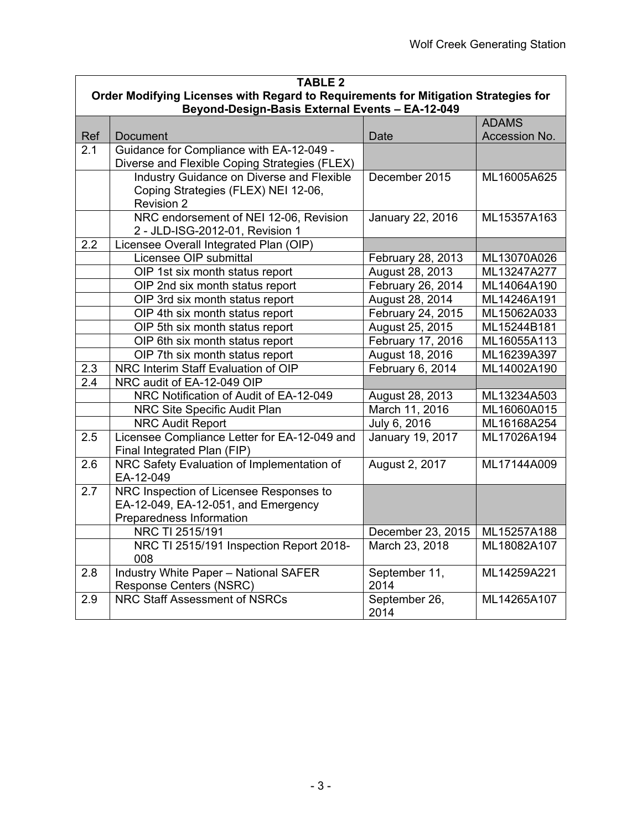|              | <b>TABLE 2</b>                                                                                                                        |                       |               |  |
|--------------|---------------------------------------------------------------------------------------------------------------------------------------|-----------------------|---------------|--|
|              | Order Modifying Licenses with Regard to Requirements for Mitigation Strategies for<br>Beyond-Design-Basis External Events - EA-12-049 |                       |               |  |
| <b>ADAMS</b> |                                                                                                                                       |                       |               |  |
| Ref          | <b>Document</b>                                                                                                                       | Date                  | Accession No. |  |
| 2.1          | Guidance for Compliance with EA-12-049 -                                                                                              |                       |               |  |
|              | Diverse and Flexible Coping Strategies (FLEX)                                                                                         |                       |               |  |
|              | Industry Guidance on Diverse and Flexible<br>Coping Strategies (FLEX) NEI 12-06,<br><b>Revision 2</b>                                 | December 2015         | ML16005A625   |  |
|              | NRC endorsement of NEI 12-06, Revision<br>2 - JLD-ISG-2012-01, Revision 1                                                             | January 22, 2016      | ML15357A163   |  |
| 2.2          | Licensee Overall Integrated Plan (OIP)                                                                                                |                       |               |  |
|              | Licensee OIP submittal                                                                                                                | February 28, 2013     | ML13070A026   |  |
|              | OIP 1st six month status report                                                                                                       | August 28, 2013       | ML13247A277   |  |
|              | OIP 2nd six month status report                                                                                                       | February 26, 2014     | ML14064A190   |  |
|              | OIP 3rd six month status report                                                                                                       | August 28, 2014       | ML14246A191   |  |
|              | OIP 4th six month status report                                                                                                       | February 24, 2015     | ML15062A033   |  |
|              | OIP 5th six month status report                                                                                                       | August 25, 2015       | ML15244B181   |  |
|              | OIP 6th six month status report                                                                                                       | February 17, 2016     | ML16055A113   |  |
|              | OIP 7th six month status report                                                                                                       | August 18, 2016       | ML16239A397   |  |
| 2.3          | NRC Interim Staff Evaluation of OIP                                                                                                   | February 6, 2014      | ML14002A190   |  |
| 2.4          | NRC audit of EA-12-049 OIP                                                                                                            |                       |               |  |
|              | NRC Notification of Audit of EA-12-049                                                                                                | August 28, 2013       | ML13234A503   |  |
|              | NRC Site Specific Audit Plan                                                                                                          | March 11, 2016        | ML16060A015   |  |
|              | <b>NRC Audit Report</b>                                                                                                               | July 6, 2016          | ML16168A254   |  |
| 2.5          | Licensee Compliance Letter for EA-12-049 and<br>Final Integrated Plan (FIP)                                                           | January 19, 2017      | ML17026A194   |  |
| 2.6          | NRC Safety Evaluation of Implementation of<br>EA-12-049                                                                               | August 2, 2017        | ML17144A009   |  |
| 2.7          | NRC Inspection of Licensee Responses to<br>EA-12-049, EA-12-051, and Emergency<br>Preparedness Information                            |                       |               |  |
|              | NRC TI 2515/191                                                                                                                       | December 23, 2015     | ML15257A188   |  |
|              | NRC TI 2515/191 Inspection Report 2018-<br>008                                                                                        | March 23, 2018        | ML18082A107   |  |
| 2.8          | <b>Industry White Paper - National SAFER</b><br><b>Response Centers (NSRC)</b>                                                        | September 11,<br>2014 | ML14259A221   |  |
| 2.9          | <b>NRC Staff Assessment of NSRCs</b>                                                                                                  | September 26,<br>2014 | ML14265A107   |  |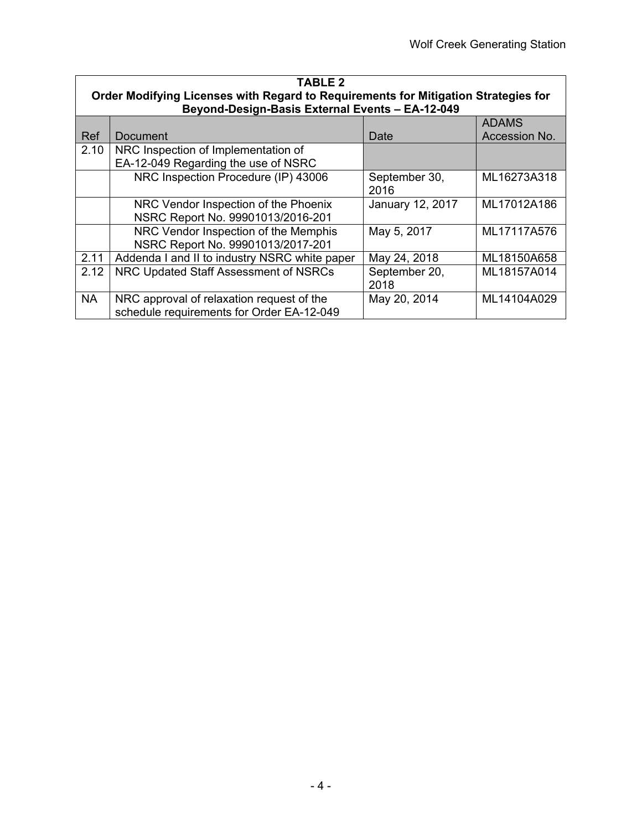| <b>TABLE 2</b><br>Order Modifying Licenses with Regard to Requirements for Mitigation Strategies for |                                                 |                  |               |
|------------------------------------------------------------------------------------------------------|-------------------------------------------------|------------------|---------------|
|                                                                                                      | Beyond-Design-Basis External Events - EA-12-049 |                  |               |
|                                                                                                      |                                                 |                  | <b>ADAMS</b>  |
| <b>Ref</b>                                                                                           | Document                                        | Date             | Accession No. |
| 2.10                                                                                                 | NRC Inspection of Implementation of             |                  |               |
|                                                                                                      | EA-12-049 Regarding the use of NSRC             |                  |               |
|                                                                                                      | NRC Inspection Procedure (IP) 43006             | September 30,    | ML16273A318   |
|                                                                                                      |                                                 | 2016             |               |
|                                                                                                      | NRC Vendor Inspection of the Phoenix            | January 12, 2017 | ML17012A186   |
|                                                                                                      | NSRC Report No. 99901013/2016-201               |                  |               |
|                                                                                                      | NRC Vendor Inspection of the Memphis            | May 5, 2017      | ML17117A576   |
|                                                                                                      | NSRC Report No. 99901013/2017-201               |                  |               |
| 2.11                                                                                                 | Addenda I and II to industry NSRC white paper   | May 24, 2018     | ML18150A658   |
| 2.12                                                                                                 | NRC Updated Staff Assessment of NSRCs           | September 20,    | ML18157A014   |
|                                                                                                      |                                                 | 2018             |               |
| <b>NA</b>                                                                                            | NRC approval of relaxation request of the       | May 20, 2014     | ML14104A029   |
|                                                                                                      | schedule requirements for Order EA-12-049       |                  |               |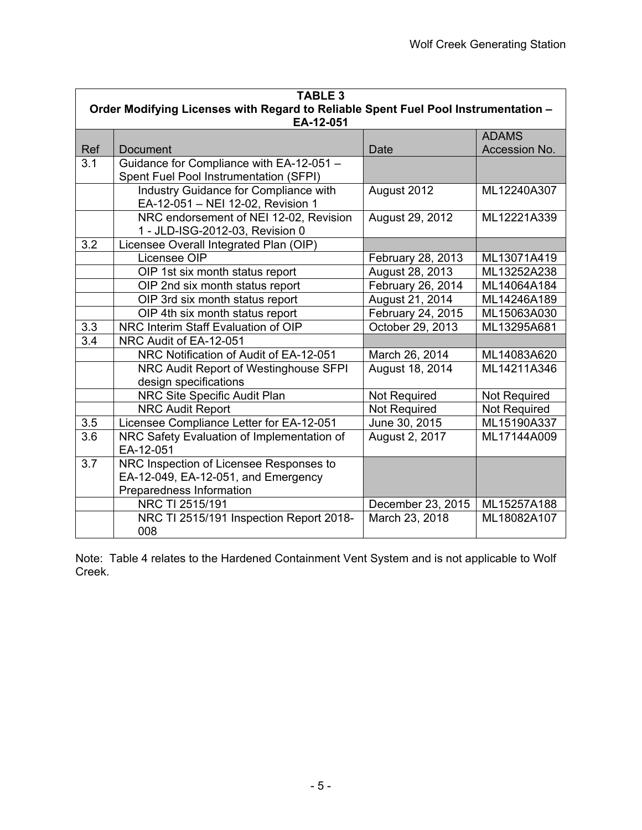| <b>TABLE 3</b> |                                                                                                 |                   |               |  |  |
|----------------|-------------------------------------------------------------------------------------------------|-------------------|---------------|--|--|
|                | Order Modifying Licenses with Regard to Reliable Spent Fuel Pool Instrumentation -<br>EA-12-051 |                   |               |  |  |
|                |                                                                                                 |                   | <b>ADAMS</b>  |  |  |
| Ref            | <b>Document</b>                                                                                 | Date              | Accession No. |  |  |
| 3.1            | Guidance for Compliance with EA-12-051 -                                                        |                   |               |  |  |
|                | Spent Fuel Pool Instrumentation (SFPI)                                                          |                   |               |  |  |
|                | Industry Guidance for Compliance with                                                           | August 2012       | ML12240A307   |  |  |
|                | EA-12-051 - NEI 12-02, Revision 1                                                               |                   |               |  |  |
|                | NRC endorsement of NEI 12-02, Revision                                                          | August 29, 2012   | ML12221A339   |  |  |
|                | 1 - JLD-ISG-2012-03, Revision 0                                                                 |                   |               |  |  |
| 3.2            | Licensee Overall Integrated Plan (OIP)                                                          |                   |               |  |  |
|                | Licensee OIP                                                                                    | February 28, 2013 | ML13071A419   |  |  |
|                | OIP 1st six month status report                                                                 | August 28, 2013   | ML13252A238   |  |  |
|                | OIP 2nd six month status report                                                                 | February 26, 2014 | ML14064A184   |  |  |
|                | OIP 3rd six month status report                                                                 | August 21, 2014   | ML14246A189   |  |  |
|                | OIP 4th six month status report                                                                 | February 24, 2015 | ML15063A030   |  |  |
| 3.3            | NRC Interim Staff Evaluation of OIP                                                             | October 29, 2013  | ML13295A681   |  |  |
| 3.4            | NRC Audit of EA-12-051                                                                          |                   |               |  |  |
|                | NRC Notification of Audit of EA-12-051                                                          | March 26, 2014    | ML14083A620   |  |  |
|                | NRC Audit Report of Westinghouse SFPI                                                           | August 18, 2014   | ML14211A346   |  |  |
|                | design specifications                                                                           |                   |               |  |  |
|                | NRC Site Specific Audit Plan                                                                    | Not Required      | Not Required  |  |  |
|                | <b>NRC Audit Report</b>                                                                         | Not Required      | Not Required  |  |  |
| 3.5            | Licensee Compliance Letter for EA-12-051                                                        | June 30, 2015     | ML15190A337   |  |  |
| 3.6            | NRC Safety Evaluation of Implementation of                                                      | August 2, 2017    | ML17144A009   |  |  |
|                | EA-12-051                                                                                       |                   |               |  |  |
| 3.7            | NRC Inspection of Licensee Responses to                                                         |                   |               |  |  |
|                | EA-12-049, EA-12-051, and Emergency                                                             |                   |               |  |  |
|                | Preparedness Information                                                                        |                   |               |  |  |
|                | NRC TI 2515/191                                                                                 | December 23, 2015 | ML15257A188   |  |  |
|                | NRC TI 2515/191 Inspection Report 2018-                                                         | March 23, 2018    | ML18082A107   |  |  |
|                | 008                                                                                             |                   |               |  |  |

Note: Table 4 relates to the Hardened Containment Vent System and is not applicable to Wolf Creek.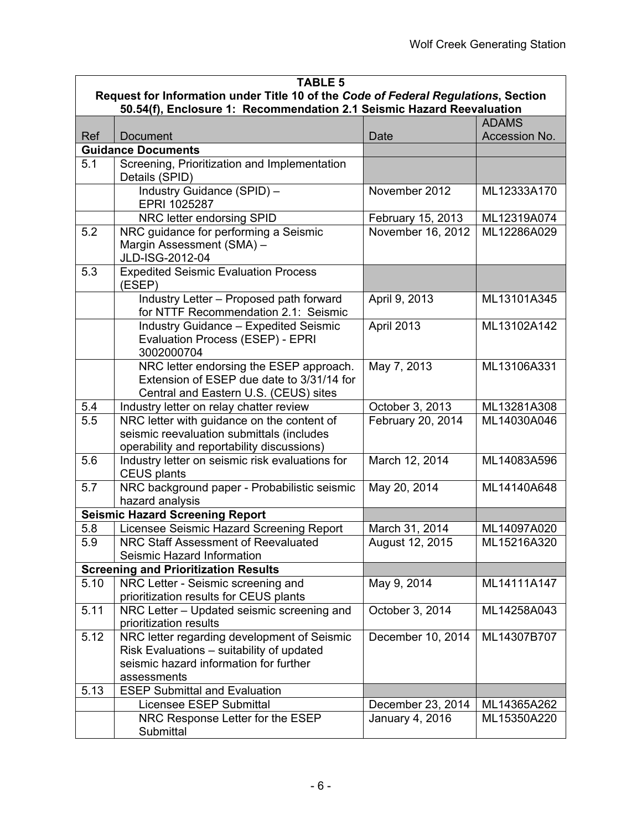| <b>TABLE 5</b> |                                                                                                                                                   |                   |               |  |  |
|----------------|---------------------------------------------------------------------------------------------------------------------------------------------------|-------------------|---------------|--|--|
|                | Request for Information under Title 10 of the Code of Federal Regulations, Section                                                                |                   |               |  |  |
|                | 50.54(f), Enclosure 1: Recommendation 2.1 Seismic Hazard Reevaluation                                                                             |                   |               |  |  |
|                |                                                                                                                                                   |                   | <b>ADAMS</b>  |  |  |
| Ref            | Document                                                                                                                                          | Date              | Accession No. |  |  |
|                | <b>Guidance Documents</b>                                                                                                                         |                   |               |  |  |
| 5.1            | Screening, Prioritization and Implementation<br>Details (SPID)                                                                                    |                   |               |  |  |
|                | Industry Guidance (SPID) -<br>EPRI 1025287                                                                                                        | November 2012     | ML12333A170   |  |  |
|                | NRC letter endorsing SPID                                                                                                                         | February 15, 2013 | ML12319A074   |  |  |
| 5.2            | NRC guidance for performing a Seismic<br>Margin Assessment (SMA) -<br>JLD-ISG-2012-04                                                             | November 16, 2012 | ML12286A029   |  |  |
| 5.3            | <b>Expedited Seismic Evaluation Process</b><br>(ESEP)                                                                                             |                   |               |  |  |
|                | Industry Letter - Proposed path forward<br>for NTTF Recommendation 2.1: Seismic                                                                   | April 9, 2013     | ML13101A345   |  |  |
|                | <b>Industry Guidance - Expedited Seismic</b><br>Evaluation Process (ESEP) - EPRI<br>3002000704                                                    | April 2013        | ML13102A142   |  |  |
|                | NRC letter endorsing the ESEP approach.<br>Extension of ESEP due date to 3/31/14 for<br>Central and Eastern U.S. (CEUS) sites                     | May 7, 2013       | ML13106A331   |  |  |
| 5.4            | Industry letter on relay chatter review                                                                                                           | October 3, 2013   | ML13281A308   |  |  |
| 5.5            | NRC letter with guidance on the content of<br>seismic reevaluation submittals (includes<br>operability and reportability discussions)             | February 20, 2014 | ML14030A046   |  |  |
| 5.6            | Industry letter on seismic risk evaluations for<br>CEUS plants                                                                                    | March 12, 2014    | ML14083A596   |  |  |
| 5.7            | NRC background paper - Probabilistic seismic<br>hazard analysis                                                                                   | May 20, 2014      | ML14140A648   |  |  |
|                | <b>Seismic Hazard Screening Report</b>                                                                                                            |                   |               |  |  |
| 5.8            | Licensee Seismic Hazard Screening Report                                                                                                          | March 31, 2014    | ML14097A020   |  |  |
| 5.9            | NRC Staff Assessment of Reevaluated<br>Seismic Hazard Information                                                                                 | August 12, 2015   | ML15216A320   |  |  |
|                | <b>Screening and Prioritization Results</b>                                                                                                       |                   |               |  |  |
| 5.10           | NRC Letter - Seismic screening and<br>prioritization results for CEUS plants                                                                      | May 9, 2014       | ML14111A147   |  |  |
| 5.11           | NRC Letter - Updated seismic screening and<br>prioritization results                                                                              | October 3, 2014   | ML14258A043   |  |  |
| 5.12           | NRC letter regarding development of Seismic<br>Risk Evaluations - suitability of updated<br>seismic hazard information for further<br>assessments | December 10, 2014 | ML14307B707   |  |  |
| 5.13           | <b>ESEP Submittal and Evaluation</b>                                                                                                              |                   |               |  |  |
|                | Licensee ESEP Submittal                                                                                                                           | December 23, 2014 | ML14365A262   |  |  |
|                | NRC Response Letter for the ESEP<br>Submittal                                                                                                     | January 4, 2016   | ML15350A220   |  |  |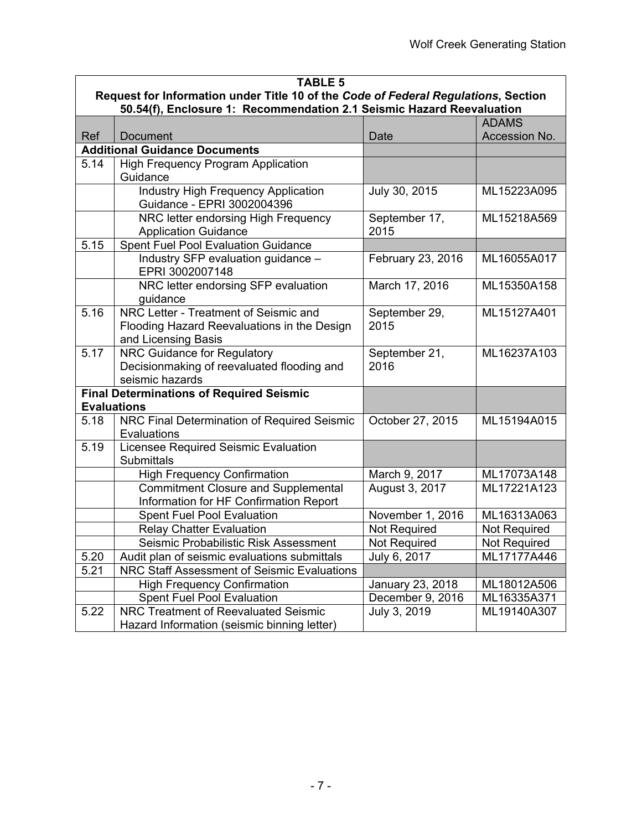| <b>TABLE 5</b> |                                                                                                                                                             |                       |               |  |
|----------------|-------------------------------------------------------------------------------------------------------------------------------------------------------------|-----------------------|---------------|--|
|                | Request for Information under Title 10 of the Code of Federal Regulations, Section<br>50.54(f), Enclosure 1: Recommendation 2.1 Seismic Hazard Reevaluation |                       |               |  |
|                |                                                                                                                                                             |                       | <b>ADAMS</b>  |  |
| Ref            | <b>Document</b>                                                                                                                                             | Date                  | Accession No. |  |
|                | <b>Additional Guidance Documents</b>                                                                                                                        |                       |               |  |
| 5.14           | <b>High Frequency Program Application</b>                                                                                                                   |                       |               |  |
|                | Guidance                                                                                                                                                    |                       |               |  |
|                | <b>Industry High Frequency Application</b>                                                                                                                  | July 30, 2015         | ML15223A095   |  |
|                | Guidance - EPRI 3002004396                                                                                                                                  |                       |               |  |
|                | NRC letter endorsing High Frequency                                                                                                                         | September 17,         | ML15218A569   |  |
|                | <b>Application Guidance</b>                                                                                                                                 | 2015                  |               |  |
| 5.15           | <b>Spent Fuel Pool Evaluation Guidance</b>                                                                                                                  |                       |               |  |
|                | Industry SFP evaluation guidance -                                                                                                                          | February 23, 2016     | ML16055A017   |  |
|                | EPRI 3002007148                                                                                                                                             |                       |               |  |
|                | NRC letter endorsing SFP evaluation                                                                                                                         | March 17, 2016        | ML15350A158   |  |
|                | guidance                                                                                                                                                    |                       |               |  |
| 5.16           | NRC Letter - Treatment of Seismic and                                                                                                                       | September 29,         | ML15127A401   |  |
|                | Flooding Hazard Reevaluations in the Design                                                                                                                 | 2015                  |               |  |
|                | and Licensing Basis                                                                                                                                         |                       | ML16237A103   |  |
| 5.17           | NRC Guidance for Regulatory<br>Decisionmaking of reevaluated flooding and                                                                                   | September 21,<br>2016 |               |  |
|                | seismic hazards                                                                                                                                             |                       |               |  |
|                | <b>Final Determinations of Required Seismic</b>                                                                                                             |                       |               |  |
|                | <b>Evaluations</b>                                                                                                                                          |                       |               |  |
| 5.18           | NRC Final Determination of Required Seismic                                                                                                                 | October 27, 2015      | ML15194A015   |  |
|                | Evaluations                                                                                                                                                 |                       |               |  |
| 5.19           | Licensee Required Seismic Evaluation                                                                                                                        |                       |               |  |
|                | <b>Submittals</b>                                                                                                                                           |                       |               |  |
|                | <b>High Frequency Confirmation</b>                                                                                                                          | March 9, 2017         | ML17073A148   |  |
|                | <b>Commitment Closure and Supplemental</b>                                                                                                                  | August 3, 2017        | ML17221A123   |  |
|                | Information for HF Confirmation Report                                                                                                                      |                       |               |  |
|                | <b>Spent Fuel Pool Evaluation</b>                                                                                                                           | November 1, 2016      | ML16313A063   |  |
|                | <b>Relay Chatter Evaluation</b>                                                                                                                             | Not Required          | Not Required  |  |
|                | Seismic Probabilistic Risk Assessment                                                                                                                       | Not Required          | Not Required  |  |
| 5.20           | Audit plan of seismic evaluations submittals                                                                                                                | July 6, 2017          | ML17177A446   |  |
| 5.21           | <b>NRC Staff Assessment of Seismic Evaluations</b>                                                                                                          |                       |               |  |
|                | <b>High Frequency Confirmation</b>                                                                                                                          | January 23, 2018      | ML18012A506   |  |
|                | <b>Spent Fuel Pool Evaluation</b>                                                                                                                           | December 9, 2016      | ML16335A371   |  |
| 5.22           | <b>NRC Treatment of Reevaluated Seismic</b>                                                                                                                 | July 3, 2019          | ML19140A307   |  |
|                | Hazard Information (seismic binning letter)                                                                                                                 |                       |               |  |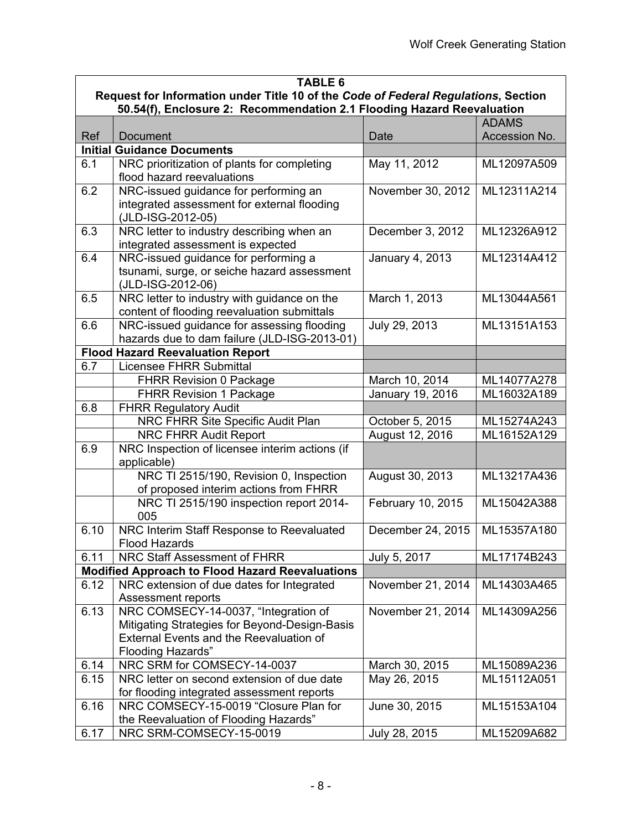|      | <b>TABLE 6</b>                                                                                                                                               |                   |               |  |
|------|--------------------------------------------------------------------------------------------------------------------------------------------------------------|-------------------|---------------|--|
|      | Request for Information under Title 10 of the Code of Federal Regulations, Section                                                                           |                   |               |  |
|      | 50.54(f), Enclosure 2: Recommendation 2.1 Flooding Hazard Reevaluation                                                                                       |                   |               |  |
|      |                                                                                                                                                              |                   | <b>ADAMS</b>  |  |
| Ref  | <b>Document</b>                                                                                                                                              | Date              | Accession No. |  |
|      | <b>Initial Guidance Documents</b>                                                                                                                            |                   |               |  |
| 6.1  | NRC prioritization of plants for completing<br>flood hazard reevaluations                                                                                    | May 11, 2012      | ML12097A509   |  |
| 6.2  | NRC-issued guidance for performing an<br>integrated assessment for external flooding<br>(JLD-ISG-2012-05)                                                    | November 30, 2012 | ML12311A214   |  |
| 6.3  | NRC letter to industry describing when an<br>integrated assessment is expected                                                                               | December 3, 2012  | ML12326A912   |  |
| 6.4  | NRC-issued guidance for performing a<br>tsunami, surge, or seiche hazard assessment<br>(JLD-ISG-2012-06)                                                     | January 4, 2013   | ML12314A412   |  |
| 6.5  | NRC letter to industry with guidance on the<br>content of flooding reevaluation submittals                                                                   | March 1, 2013     | ML13044A561   |  |
| 6.6  | NRC-issued guidance for assessing flooding<br>hazards due to dam failure (JLD-ISG-2013-01)                                                                   | July 29, 2013     | ML13151A153   |  |
|      | <b>Flood Hazard Reevaluation Report</b>                                                                                                                      |                   |               |  |
| 6.7  | <b>Licensee FHRR Submittal</b>                                                                                                                               |                   |               |  |
|      | <b>FHRR Revision 0 Package</b>                                                                                                                               | March 10, 2014    | ML14077A278   |  |
|      | <b>FHRR Revision 1 Package</b>                                                                                                                               | January 19, 2016  | ML16032A189   |  |
| 6.8  | <b>FHRR Regulatory Audit</b>                                                                                                                                 |                   |               |  |
|      | NRC FHRR Site Specific Audit Plan                                                                                                                            | October 5, 2015   | ML15274A243   |  |
|      | NRC FHRR Audit Report                                                                                                                                        | August 12, 2016   | ML16152A129   |  |
| 6.9  | NRC Inspection of licensee interim actions (if<br>applicable)                                                                                                |                   |               |  |
|      | NRC TI 2515/190, Revision 0, Inspection<br>of proposed interim actions from FHRR                                                                             | August 30, 2013   | ML13217A436   |  |
|      | NRC TI 2515/190 inspection report 2014-<br>005                                                                                                               | February 10, 2015 | ML15042A388   |  |
| 6.10 | NRC Interim Staff Response to Reevaluated<br><b>Flood Hazards</b>                                                                                            | December 24, 2015 | ML15357A180   |  |
| 6.11 | NRC Staff Assessment of FHRR                                                                                                                                 | July 5, 2017      | ML17174B243   |  |
|      | <b>Modified Approach to Flood Hazard Reevaluations</b>                                                                                                       |                   |               |  |
| 6.12 | NRC extension of due dates for Integrated<br>Assessment reports                                                                                              | November 21, 2014 | ML14303A465   |  |
| 6.13 | NRC COMSECY-14-0037, "Integration of<br>Mitigating Strategies for Beyond-Design-Basis<br>External Events and the Reevaluation of<br><b>Flooding Hazards"</b> | November 21, 2014 | ML14309A256   |  |
| 6.14 | NRC SRM for COMSECY-14-0037                                                                                                                                  | March 30, 2015    | ML15089A236   |  |
| 6.15 | NRC letter on second extension of due date                                                                                                                   | May 26, 2015      | ML15112A051   |  |
|      | for flooding integrated assessment reports                                                                                                                   |                   |               |  |
| 6.16 | NRC COMSECY-15-0019 "Closure Plan for<br>the Reevaluation of Flooding Hazards"                                                                               | June 30, 2015     | ML15153A104   |  |
| 6.17 | NRC SRM-COMSECY-15-0019                                                                                                                                      | July 28, 2015     | ML15209A682   |  |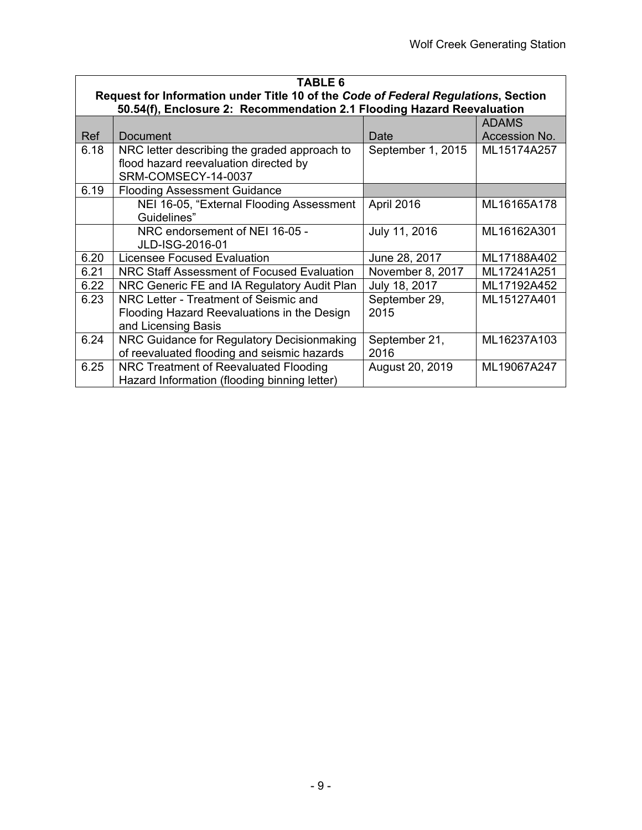| <b>TABLE 6</b> |                                                                                                                                                              |                   |               |  |
|----------------|--------------------------------------------------------------------------------------------------------------------------------------------------------------|-------------------|---------------|--|
|                | Request for Information under Title 10 of the Code of Federal Regulations, Section<br>50.54(f), Enclosure 2: Recommendation 2.1 Flooding Hazard Reevaluation |                   |               |  |
|                |                                                                                                                                                              |                   | <b>ADAMS</b>  |  |
| Ref            | Document                                                                                                                                                     | Date              | Accession No. |  |
| 6.18           | NRC letter describing the graded approach to                                                                                                                 | September 1, 2015 | ML15174A257   |  |
|                | flood hazard reevaluation directed by                                                                                                                        |                   |               |  |
|                | SRM-COMSECY-14-0037                                                                                                                                          |                   |               |  |
| 6.19           | <b>Flooding Assessment Guidance</b>                                                                                                                          |                   |               |  |
|                | NEI 16-05, "External Flooding Assessment                                                                                                                     | April 2016        | ML16165A178   |  |
|                | Guidelines"                                                                                                                                                  |                   |               |  |
|                | NRC endorsement of NEI 16-05 -                                                                                                                               | July 11, 2016     | ML16162A301   |  |
|                | JLD-ISG-2016-01                                                                                                                                              |                   |               |  |
| 6.20           | <b>Licensee Focused Evaluation</b>                                                                                                                           | June 28, 2017     | ML17188A402   |  |
| 6.21           | NRC Staff Assessment of Focused Evaluation                                                                                                                   | November 8, 2017  | ML17241A251   |  |
| 6.22           | NRC Generic FE and IA Regulatory Audit Plan                                                                                                                  | July 18, 2017     | ML17192A452   |  |
| 6.23           | NRC Letter - Treatment of Seismic and                                                                                                                        | September 29,     | ML15127A401   |  |
|                | Flooding Hazard Reevaluations in the Design                                                                                                                  | 2015              |               |  |
|                | and Licensing Basis                                                                                                                                          |                   |               |  |
| 6.24           | NRC Guidance for Regulatory Decisionmaking                                                                                                                   | September 21,     | ML16237A103   |  |
|                | of reevaluated flooding and seismic hazards                                                                                                                  | 2016              |               |  |
| 6.25           | NRC Treatment of Reevaluated Flooding                                                                                                                        | August 20, 2019   | ML19067A247   |  |
|                | Hazard Information (flooding binning letter)                                                                                                                 |                   |               |  |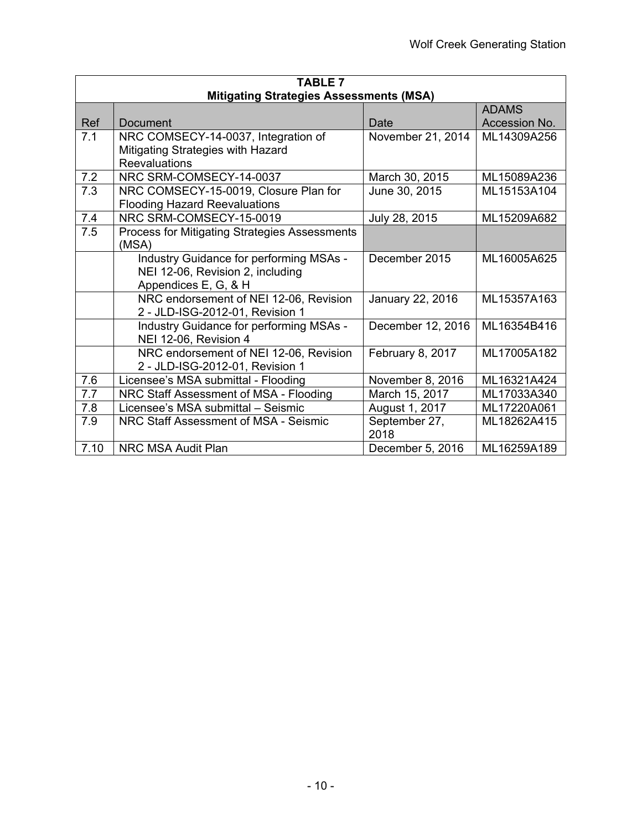| <b>TABLE 7</b> |                                                      |                   |               |  |
|----------------|------------------------------------------------------|-------------------|---------------|--|
|                | <b>Mitigating Strategies Assessments (MSA)</b>       |                   |               |  |
|                |                                                      |                   | <b>ADAMS</b>  |  |
| Ref            | Document                                             | Date              | Accession No. |  |
| 7.1            | NRC COMSECY-14-0037, Integration of                  | November 21, 2014 | ML14309A256   |  |
|                | Mitigating Strategies with Hazard                    |                   |               |  |
|                | Reevaluations                                        |                   |               |  |
| 7.2            | NRC SRM-COMSECY-14-0037                              | March 30, 2015    | ML15089A236   |  |
| 7.3            | NRC COMSECY-15-0019, Closure Plan for                | June 30, 2015     | ML15153A104   |  |
|                | <b>Flooding Hazard Reevaluations</b>                 |                   |               |  |
| 7.4            | NRC SRM-COMSECY-15-0019                              | July 28, 2015     | ML15209A682   |  |
| 7.5            | <b>Process for Mitigating Strategies Assessments</b> |                   |               |  |
|                | (MSA)                                                |                   |               |  |
|                | Industry Guidance for performing MSAs -              | December 2015     | ML16005A625   |  |
|                | NEI 12-06, Revision 2, including                     |                   |               |  |
|                | Appendices E, G, & H                                 |                   |               |  |
|                | NRC endorsement of NEI 12-06, Revision               | January 22, 2016  | ML15357A163   |  |
|                | 2 - JLD-ISG-2012-01, Revision 1                      |                   |               |  |
|                | Industry Guidance for performing MSAs -              | December 12, 2016 | ML16354B416   |  |
|                | NEI 12-06, Revision 4                                |                   |               |  |
|                | NRC endorsement of NEI 12-06, Revision               | February 8, 2017  | ML17005A182   |  |
|                | 2 - JLD-ISG-2012-01, Revision 1                      |                   |               |  |
| 7.6            | Licensee's MSA submittal - Flooding                  | November 8, 2016  | ML16321A424   |  |
| 7.7            | NRC Staff Assessment of MSA - Flooding               | March 15, 2017    | ML17033A340   |  |
| 7.8            | Licensee's MSA submittal - Seismic                   | August 1, 2017    | ML17220A061   |  |
| 7.9            | NRC Staff Assessment of MSA - Seismic                | September 27,     | ML18262A415   |  |
|                |                                                      | 2018              |               |  |
| 7.10           | <b>NRC MSA Audit Plan</b>                            | December 5, 2016  | ML16259A189   |  |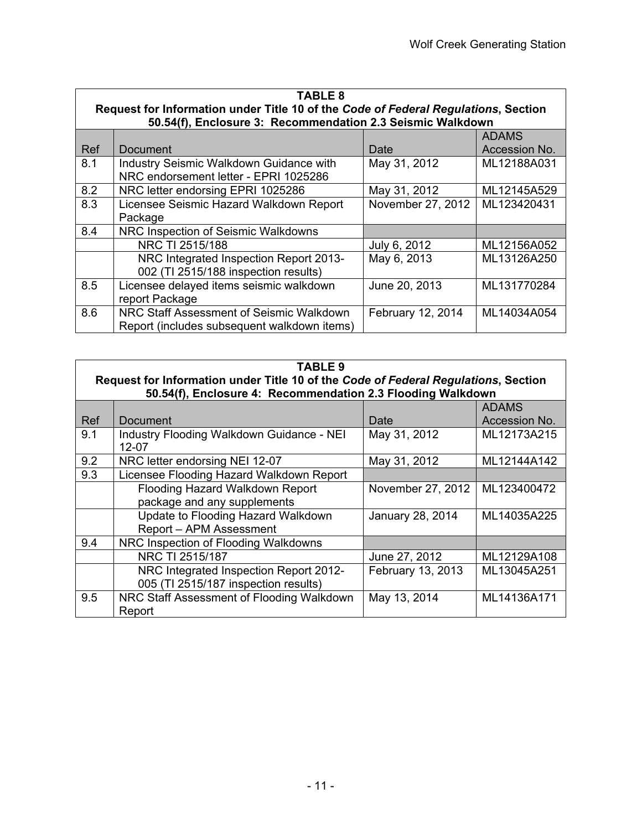| <b>TABLE 8</b><br>Request for Information under Title 10 of the Code of Federal Regulations, Section<br>50.54(f), Enclosure 3: Recommendation 2.3 Seismic Walkdown |                                                                                         |                   |                               |
|--------------------------------------------------------------------------------------------------------------------------------------------------------------------|-----------------------------------------------------------------------------------------|-------------------|-------------------------------|
| Ref                                                                                                                                                                | Document                                                                                | Date              | <b>ADAMS</b><br>Accession No. |
| 8.1                                                                                                                                                                | Industry Seismic Walkdown Guidance with<br>NRC endorsement letter - EPRI 1025286        | May 31, 2012      | ML12188A031                   |
| 8.2                                                                                                                                                                | NRC letter endorsing EPRI 1025286                                                       | May 31, 2012      | ML12145A529                   |
| 8.3                                                                                                                                                                | Licensee Seismic Hazard Walkdown Report<br>Package                                      | November 27, 2012 | ML123420431                   |
| 8.4                                                                                                                                                                | NRC Inspection of Seismic Walkdowns                                                     |                   |                               |
|                                                                                                                                                                    | NRC TI 2515/188                                                                         | July 6, 2012      | ML12156A052                   |
|                                                                                                                                                                    | NRC Integrated Inspection Report 2013-<br>002 (TI 2515/188 inspection results)          | May 6, 2013       | ML13126A250                   |
| 8.5                                                                                                                                                                | Licensee delayed items seismic walkdown<br>report Package                               | June 20, 2013     | ML131770284                   |
| 8.6                                                                                                                                                                | NRC Staff Assessment of Seismic Walkdown<br>Report (includes subsequent walkdown items) | February 12, 2014 | ML14034A054                   |

| TABLE 9    |                                                                                                                                                   |                   |               |
|------------|---------------------------------------------------------------------------------------------------------------------------------------------------|-------------------|---------------|
|            | Request for Information under Title 10 of the Code of Federal Regulations, Section<br>50.54(f), Enclosure 4: Recommendation 2.3 Flooding Walkdown |                   |               |
|            |                                                                                                                                                   |                   | <b>ADAMS</b>  |
| <b>Ref</b> | Document                                                                                                                                          | Date              | Accession No. |
| 9.1        | Industry Flooding Walkdown Guidance - NEI                                                                                                         | May 31, 2012      | ML12173A215   |
|            | 12-07                                                                                                                                             |                   |               |
| 9.2        | NRC letter endorsing NEI 12-07                                                                                                                    | May 31, 2012      | ML12144A142   |
| 9.3        | Licensee Flooding Hazard Walkdown Report                                                                                                          |                   |               |
|            | Flooding Hazard Walkdown Report                                                                                                                   | November 27, 2012 | ML123400472   |
|            | package and any supplements                                                                                                                       |                   |               |
|            | Update to Flooding Hazard Walkdown                                                                                                                | January 28, 2014  | ML14035A225   |
|            | Report - APM Assessment                                                                                                                           |                   |               |
| 9.4        | NRC Inspection of Flooding Walkdowns                                                                                                              |                   |               |
|            | NRC TI 2515/187                                                                                                                                   | June 27, 2012     | ML12129A108   |
|            | NRC Integrated Inspection Report 2012-                                                                                                            | February 13, 2013 | ML13045A251   |
|            | 005 (TI 2515/187 inspection results)                                                                                                              |                   |               |
| 9.5        | NRC Staff Assessment of Flooding Walkdown                                                                                                         | May 13, 2014      | ML14136A171   |
|            | Report                                                                                                                                            |                   |               |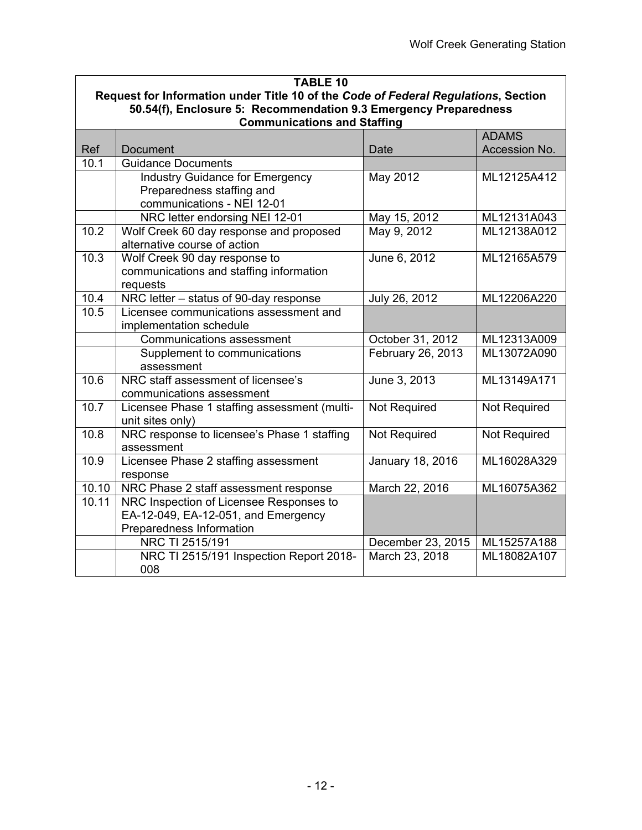| <b>TABLE 10</b>                                                                    |                                                                 |                     |               |  |  |  |
|------------------------------------------------------------------------------------|-----------------------------------------------------------------|---------------------|---------------|--|--|--|
| Request for Information under Title 10 of the Code of Federal Regulations, Section |                                                                 |                     |               |  |  |  |
| 50.54(f), Enclosure 5: Recommendation 9.3 Emergency Preparedness                   |                                                                 |                     |               |  |  |  |
| <b>Communications and Staffing</b><br><b>ADAMS</b>                                 |                                                                 |                     |               |  |  |  |
| Ref                                                                                | <b>Document</b>                                                 | Date                | Accession No. |  |  |  |
| 10.1                                                                               | <b>Guidance Documents</b>                                       |                     |               |  |  |  |
|                                                                                    | <b>Industry Guidance for Emergency</b>                          | May 2012            | ML12125A412   |  |  |  |
|                                                                                    | Preparedness staffing and                                       |                     |               |  |  |  |
|                                                                                    | communications - NEI 12-01                                      |                     |               |  |  |  |
|                                                                                    | NRC letter endorsing NEI 12-01                                  | May 15, 2012        | ML12131A043   |  |  |  |
| 10.2                                                                               | Wolf Creek 60 day response and proposed                         | May 9, 2012         | ML12138A012   |  |  |  |
|                                                                                    | alternative course of action                                    |                     |               |  |  |  |
| 10.3                                                                               | Wolf Creek 90 day response to                                   | June 6, 2012        | ML12165A579   |  |  |  |
|                                                                                    | communications and staffing information                         |                     |               |  |  |  |
|                                                                                    | requests                                                        |                     |               |  |  |  |
| 10.4                                                                               | NRC letter - status of 90-day response                          | July 26, 2012       | ML12206A220   |  |  |  |
| 10.5                                                                               | Licensee communications assessment and                          |                     |               |  |  |  |
|                                                                                    | implementation schedule                                         |                     |               |  |  |  |
|                                                                                    | <b>Communications assessment</b>                                | October 31, 2012    | ML12313A009   |  |  |  |
|                                                                                    | Supplement to communications                                    | February 26, 2013   | ML13072A090   |  |  |  |
|                                                                                    | assessment                                                      |                     |               |  |  |  |
| 10.6                                                                               | NRC staff assessment of licensee's                              | June 3, 2013        | ML13149A171   |  |  |  |
| 10.7                                                                               | communications assessment                                       |                     |               |  |  |  |
|                                                                                    | Licensee Phase 1 staffing assessment (multi-                    | <b>Not Required</b> | Not Required  |  |  |  |
| 10.8                                                                               | unit sites only)<br>NRC response to licensee's Phase 1 staffing | <b>Not Required</b> | Not Required  |  |  |  |
|                                                                                    | assessment                                                      |                     |               |  |  |  |
| 10.9                                                                               | Licensee Phase 2 staffing assessment                            | January 18, 2016    | ML16028A329   |  |  |  |
|                                                                                    | response                                                        |                     |               |  |  |  |
| 10.10                                                                              | NRC Phase 2 staff assessment response                           | March 22, 2016      | ML16075A362   |  |  |  |
| 10.11                                                                              | NRC Inspection of Licensee Responses to                         |                     |               |  |  |  |
|                                                                                    | EA-12-049, EA-12-051, and Emergency                             |                     |               |  |  |  |
|                                                                                    | Preparedness Information                                        |                     |               |  |  |  |
|                                                                                    | NRC TI 2515/191                                                 | December 23, 2015   | ML15257A188   |  |  |  |
|                                                                                    | NRC TI 2515/191 Inspection Report 2018-                         | March 23, 2018      | ML18082A107   |  |  |  |
|                                                                                    | 008                                                             |                     |               |  |  |  |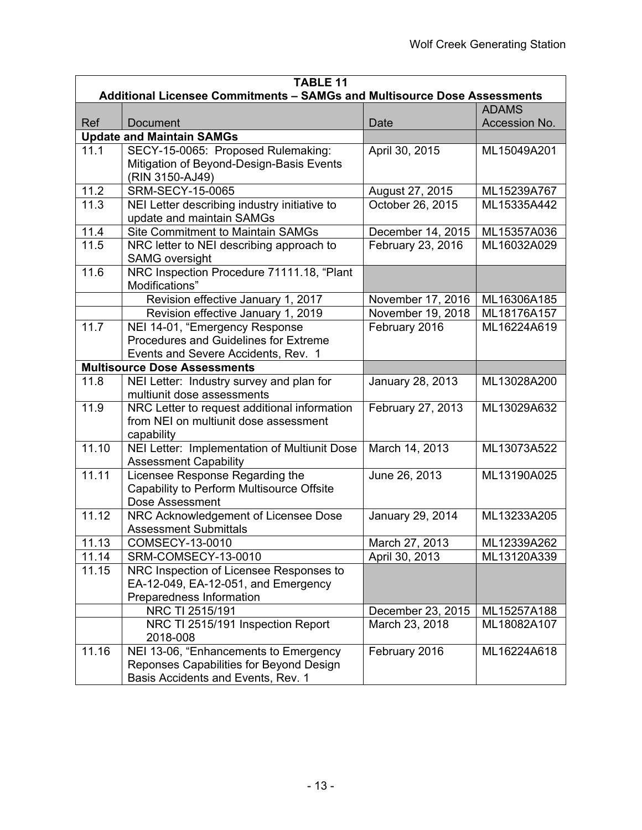| <b>TABLE 11</b> |                                                                          |                   |                               |  |  |
|-----------------|--------------------------------------------------------------------------|-------------------|-------------------------------|--|--|
|                 | Additional Licensee Commitments - SAMGs and Multisource Dose Assessments |                   |                               |  |  |
| Ref             | <b>Document</b>                                                          | Date              | <b>ADAMS</b><br>Accession No. |  |  |
|                 | <b>Update and Maintain SAMGs</b>                                         |                   |                               |  |  |
| 11.1            | SECY-15-0065: Proposed Rulemaking:                                       | April 30, 2015    | ML15049A201                   |  |  |
|                 | Mitigation of Beyond-Design-Basis Events                                 |                   |                               |  |  |
|                 | (RIN 3150-AJ49)                                                          |                   |                               |  |  |
| 11.2            | <b>SRM-SECY-15-0065</b>                                                  | August 27, 2015   | ML15239A767                   |  |  |
| 11.3            | NEI Letter describing industry initiative to                             | October 26, 2015  | ML15335A442                   |  |  |
|                 | update and maintain SAMGs                                                |                   |                               |  |  |
| 11.4            | <b>Site Commitment to Maintain SAMGs</b>                                 | December 14, 2015 | ML15357A036                   |  |  |
| 11.5            | NRC letter to NEI describing approach to                                 | February 23, 2016 | ML16032A029                   |  |  |
|                 | <b>SAMG</b> oversight                                                    |                   |                               |  |  |
| 11.6            | NRC Inspection Procedure 71111.18, "Plant                                |                   |                               |  |  |
|                 | Modifications"                                                           |                   |                               |  |  |
|                 | Revision effective January 1, 2017                                       | November 17, 2016 | ML16306A185                   |  |  |
|                 | Revision effective January 1, 2019                                       | November 19, 2018 | ML18176A157                   |  |  |
| 11.7            | NEI 14-01, "Emergency Response                                           | February 2016     | ML16224A619                   |  |  |
|                 | Procedures and Guidelines for Extreme                                    |                   |                               |  |  |
|                 | Events and Severe Accidents, Rev. 1                                      |                   |                               |  |  |
| 11.8            | <b>Multisource Dose Assessments</b>                                      |                   |                               |  |  |
|                 | NEI Letter: Industry survey and plan for<br>multiunit dose assessments   | January 28, 2013  | ML13028A200                   |  |  |
| 11.9            | NRC Letter to request additional information                             | February 27, 2013 | ML13029A632                   |  |  |
|                 | from NEI on multiunit dose assessment                                    |                   |                               |  |  |
|                 | capability                                                               |                   |                               |  |  |
| 11.10           | NEI Letter: Implementation of Multiunit Dose                             | March 14, 2013    | ML13073A522                   |  |  |
|                 | <b>Assessment Capability</b>                                             |                   |                               |  |  |
| 11.11           | Licensee Response Regarding the                                          | June 26, 2013     | ML13190A025                   |  |  |
|                 | Capability to Perform Multisource Offsite                                |                   |                               |  |  |
|                 | <b>Dose Assessment</b>                                                   |                   |                               |  |  |
| 11.12           | NRC Acknowledgement of Licensee Dose                                     | January 29, 2014  | ML13233A205                   |  |  |
|                 | <b>Assessment Submittals</b>                                             |                   |                               |  |  |
| 11.13           | COMSECY-13-0010                                                          | March 27, 2013    | ML12339A262                   |  |  |
| 11.14           | SRM-COMSECY-13-0010                                                      | April 30, 2013    | ML13120A339                   |  |  |
| 11.15           | NRC Inspection of Licensee Responses to                                  |                   |                               |  |  |
|                 | EA-12-049, EA-12-051, and Emergency                                      |                   |                               |  |  |
|                 | Preparedness Information                                                 |                   |                               |  |  |
|                 | NRC TI 2515/191                                                          | December 23, 2015 | ML15257A188                   |  |  |
|                 | NRC TI 2515/191 Inspection Report<br>2018-008                            | March 23, 2018    | ML18082A107                   |  |  |
| 11.16           | NEI 13-06, "Enhancements to Emergency                                    | February 2016     | ML16224A618                   |  |  |
|                 | Reponses Capabilities for Beyond Design                                  |                   |                               |  |  |
|                 | Basis Accidents and Events, Rev. 1                                       |                   |                               |  |  |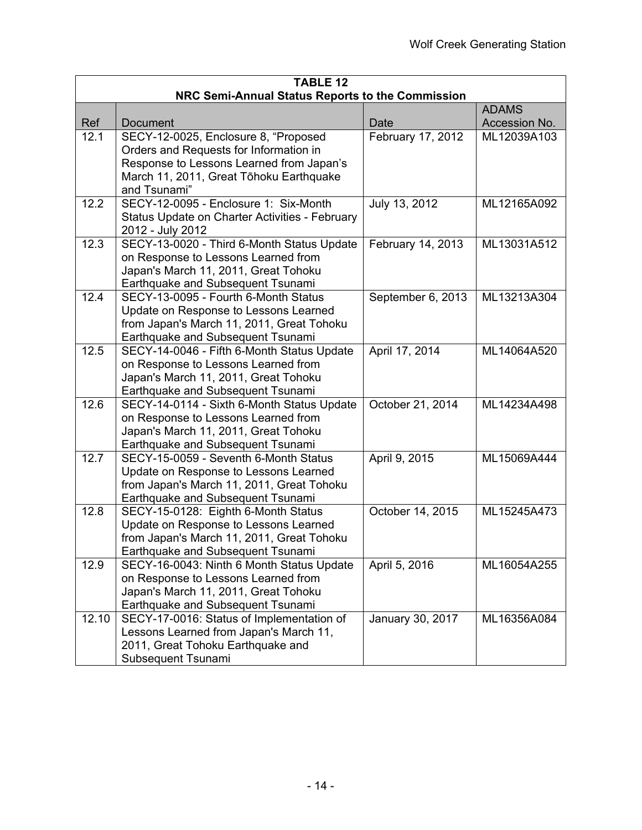| <b>TABLE 12</b>                                  |                                                                          |                   |               |  |  |  |
|--------------------------------------------------|--------------------------------------------------------------------------|-------------------|---------------|--|--|--|
| NRC Semi-Annual Status Reports to the Commission |                                                                          |                   |               |  |  |  |
|                                                  |                                                                          |                   | <b>ADAMS</b>  |  |  |  |
| Ref                                              | Document                                                                 | Date              | Accession No. |  |  |  |
| 12.1                                             | SECY-12-0025, Enclosure 8, "Proposed                                     | February 17, 2012 | ML12039A103   |  |  |  |
|                                                  | Orders and Requests for Information in                                   |                   |               |  |  |  |
|                                                  | Response to Lessons Learned from Japan's                                 |                   |               |  |  |  |
|                                                  | March 11, 2011, Great Tōhoku Earthquake<br>and Tsunami"                  |                   |               |  |  |  |
| 12.2                                             | SECY-12-0095 - Enclosure 1: Six-Month                                    | July 13, 2012     | ML12165A092   |  |  |  |
|                                                  | Status Update on Charter Activities - February                           |                   |               |  |  |  |
|                                                  | 2012 - July 2012                                                         |                   |               |  |  |  |
| 12.3                                             | SECY-13-0020 - Third 6-Month Status Update                               | February 14, 2013 | ML13031A512   |  |  |  |
|                                                  | on Response to Lessons Learned from                                      |                   |               |  |  |  |
|                                                  | Japan's March 11, 2011, Great Tohoku                                     |                   |               |  |  |  |
|                                                  | Earthquake and Subsequent Tsunami                                        |                   |               |  |  |  |
| 12.4                                             | SECY-13-0095 - Fourth 6-Month Status                                     | September 6, 2013 | ML13213A304   |  |  |  |
|                                                  | Update on Response to Lessons Learned                                    |                   |               |  |  |  |
|                                                  | from Japan's March 11, 2011, Great Tohoku                                |                   |               |  |  |  |
|                                                  | Earthquake and Subsequent Tsunami                                        |                   |               |  |  |  |
| 12.5                                             | SECY-14-0046 - Fifth 6-Month Status Update                               | April 17, 2014    | ML14064A520   |  |  |  |
|                                                  | on Response to Lessons Learned from                                      |                   |               |  |  |  |
|                                                  | Japan's March 11, 2011, Great Tohoku                                     |                   |               |  |  |  |
|                                                  | Earthquake and Subsequent Tsunami                                        |                   |               |  |  |  |
| 12.6                                             | SECY-14-0114 - Sixth 6-Month Status Update                               | October 21, 2014  | ML14234A498   |  |  |  |
|                                                  | on Response to Lessons Learned from                                      |                   |               |  |  |  |
|                                                  | Japan's March 11, 2011, Great Tohoku                                     |                   |               |  |  |  |
|                                                  | Earthquake and Subsequent Tsunami                                        |                   |               |  |  |  |
| 12.7                                             | SECY-15-0059 - Seventh 6-Month Status                                    | April 9, 2015     | ML15069A444   |  |  |  |
|                                                  | Update on Response to Lessons Learned                                    |                   |               |  |  |  |
|                                                  | from Japan's March 11, 2011, Great Tohoku                                |                   |               |  |  |  |
| 12.8                                             | Earthquake and Subsequent Tsunami<br>SECY-15-0128: Eighth 6-Month Status | October 14, 2015  | ML15245A473   |  |  |  |
|                                                  | Update on Response to Lessons Learned                                    |                   |               |  |  |  |
|                                                  | from Japan's March 11, 2011, Great Tohoku                                |                   |               |  |  |  |
|                                                  | Earthquake and Subsequent Tsunami                                        |                   |               |  |  |  |
| 12.9                                             | SECY-16-0043: Ninth 6 Month Status Update                                | April 5, 2016     | ML16054A255   |  |  |  |
|                                                  | on Response to Lessons Learned from                                      |                   |               |  |  |  |
|                                                  | Japan's March 11, 2011, Great Tohoku                                     |                   |               |  |  |  |
|                                                  | Earthquake and Subsequent Tsunami                                        |                   |               |  |  |  |
| 12.10                                            | SECY-17-0016: Status of Implementation of                                | January 30, 2017  | ML16356A084   |  |  |  |
|                                                  | Lessons Learned from Japan's March 11,                                   |                   |               |  |  |  |
|                                                  | 2011, Great Tohoku Earthquake and                                        |                   |               |  |  |  |
|                                                  | Subsequent Tsunami                                                       |                   |               |  |  |  |